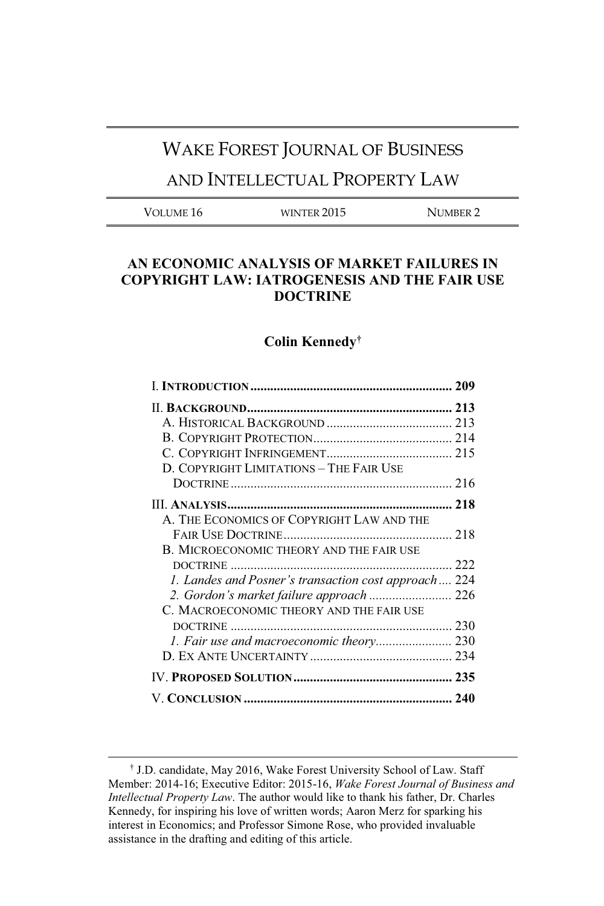# WAKE FOREST JOURNAL OF BUSINESS

# AND INTELLECTUAL PROPERTY LAW

| Volume 16<br>WINTER 2015<br>NUMBER 2 |  |  |  |
|--------------------------------------|--|--|--|
|--------------------------------------|--|--|--|

## **AN ECONOMIC ANALYSIS OF MARKET FAILURES IN COPYRIGHT LAW: IATROGENESIS AND THE FAIR USE DOCTRINE**

# **Colin Kennedy†**

| D. COPYRIGHT LIMITATIONS - THE FAIR USE              |  |
|------------------------------------------------------|--|
|                                                      |  |
|                                                      |  |
| A. THE ECONOMICS OF COPYRIGHT LAW AND THE            |  |
|                                                      |  |
| B. MICROECONOMIC THEORY AND THE FAIR USE             |  |
|                                                      |  |
| 1. Landes and Posner's transaction cost approach 224 |  |
| 2. Gordon's market failure approach  226             |  |
| C. MACROECONOMIC THEORY AND THE FAIR USE             |  |
|                                                      |  |
|                                                      |  |
|                                                      |  |
|                                                      |  |
|                                                      |  |

 $\overline{a}$ 

<sup>†</sup> J.D. candidate, May 2016, Wake Forest University School of Law. Staff Member: 2014-16; Executive Editor: 2015-16, *Wake Forest Journal of Business and Intellectual Property Law*. The author would like to thank his father, Dr. Charles Kennedy, for inspiring his love of written words; Aaron Merz for sparking his interest in Economics; and Professor Simone Rose, who provided invaluable assistance in the drafting and editing of this article.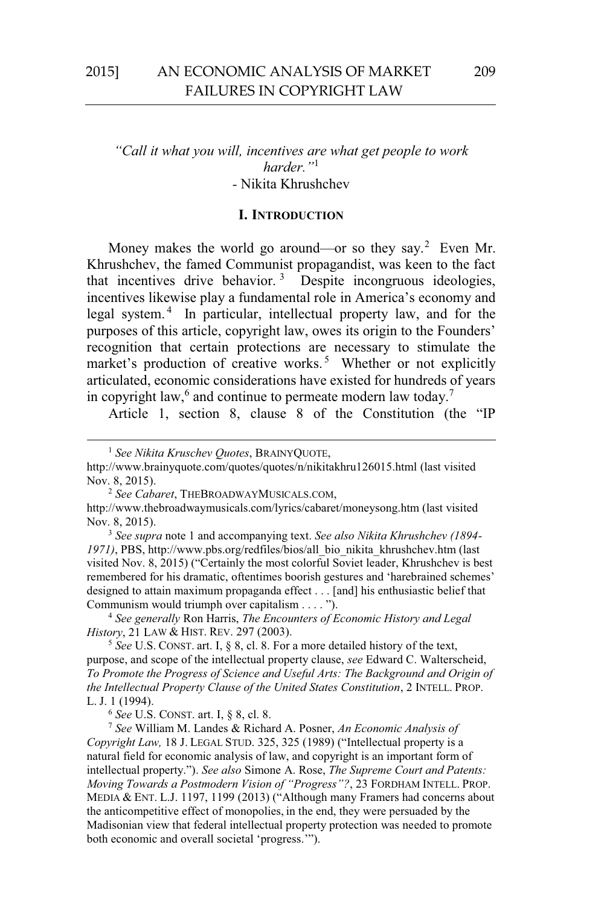## *"Call it what you will, incentives are what get people to work harder."*<sup>1</sup> *-* Nikita Khrushchev

## **I. INTRODUCTION**

Money makes the world go around—or so they say.<sup>2</sup> Even Mr. Khrushchev, the famed Communist propagandist, was keen to the fact that incentives drive behavior.<sup>3</sup> Despite incongruous ideologies, incentives likewise play a fundamental role in America's economy and legal system. 4 In particular, intellectual property law, and for the purposes of this article, copyright law, owes its origin to the Founders' recognition that certain protections are necessary to stimulate the market's production of creative works.<sup>5</sup> Whether or not explicitly articulated, economic considerations have existed for hundreds of years in copyright law, $6$  and continue to permeate modern law today.<sup>7</sup>

Article 1, section 8, clause 8 of the Constitution (the "IP

http://www.brainyquote.com/quotes/quotes/n/nikitakhru126015.html (last visited Nov. 8, 2015). 2 *See Cabaret*, THEBROADWAYMUSICALS.COM,

<sup>4</sup> *See generally* Ron Harris, *The Encounters of Economic History and Legal History*, 21 LAW & HIST. REV. 297 (2003).<br><sup>5</sup> *See* U.S. CONST. art. I, § 8, cl. 8. For a more detailed history of the text,

purpose, and scope of the intellectual property clause, *see* Edward C. Walterscheid, *To Promote the Progress of Science and Useful Arts: The Background and Origin of the Intellectual Property Clause of the United States Constitution*, 2 INTELL. PROP. L. J. 1 (1994).<br><sup>6</sup> See U.S. CONST. art. I, § 8, cl. 8.

 <sup>1</sup> *See Nikita Kruschev Quotes*, BRAINYQUOTE,

http://www.thebroadwaymusicals.com/lyrics/cabaret/moneysong.htm (last visited Nov. 8, 2015). 3 *See supra* note 1 and accompanying text. *See also Nikita Khrushchev (1894-*

*<sup>1971)</sup>*, PBS, http://www.pbs.org/redfiles/bios/all\_bio\_nikita\_khrushchev.htm (last visited Nov. 8, 2015) ("Certainly the most colorful Soviet leader, Khrushchev is best remembered for his dramatic, oftentimes boorish gestures and 'harebrained schemes' designed to attain maximum propaganda effect . . . [and] his enthusiastic belief that Communism would triumph over capitalism . . . . ").

<sup>&</sup>lt;sup>7</sup> See William M. Landes & Richard A. Posner, *An Economic Analysis of Copyright Law,* 18 J. LEGAL STUD. 325, 325 (1989) ("Intellectual property is a natural field for economic analysis of law, and copyright is an important form of intellectual property."). *See also* Simone A. Rose, *The Supreme Court and Patents: Moving Towards a Postmodern Vision of "Progress"?*, 23 FORDHAM INTELL. PROP. MEDIA & ENT. L.J. 1197, 1199 (2013) ("Although many Framers had concerns about the anticompetitive effect of monopolies, in the end, they were persuaded by the Madisonian view that federal intellectual property protection was needed to promote both economic and overall societal 'progress.'").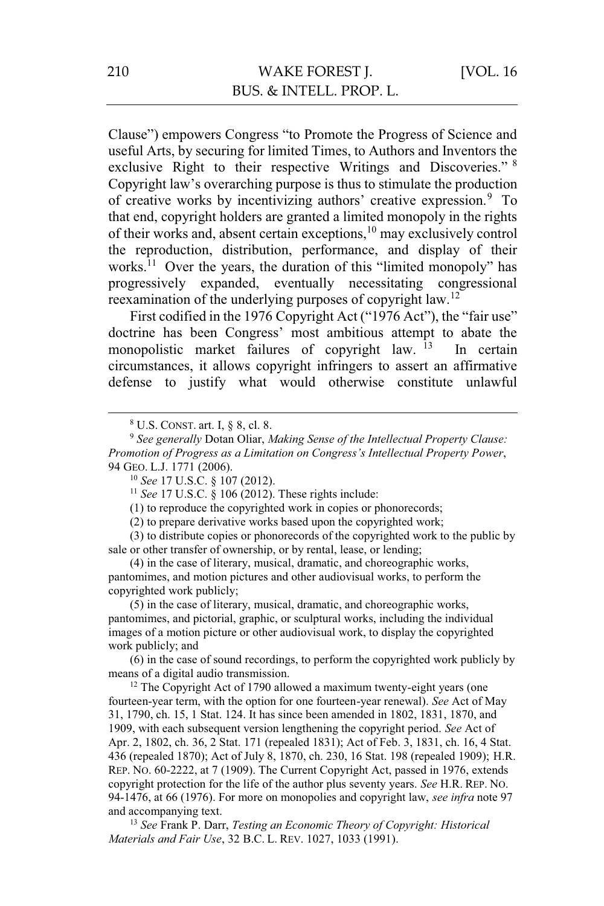Clause") empowers Congress "to Promote the Progress of Science and useful Arts, by securing for limited Times, to Authors and Inventors the exclusive Right to their respective Writings and Discoveries." <sup>8</sup> Copyright law's overarching purpose is thus to stimulate the production of creative works by incentivizing authors' creative expression.<sup>9</sup> To that end, copyright holders are granted a limited monopoly in the rights of their works and, absent certain exceptions,<sup>10</sup> may exclusively control the reproduction, distribution, performance, and display of their works.<sup>11</sup> Over the years, the duration of this "limited monopoly" has progressively expanded, eventually necessitating congressional reexamination of the underlying purposes of copyright law.12

First codified in the 1976 Copyright Act ("1976 Act"), the "fair use" doctrine has been Congress' most ambitious attempt to abate the monopolistic market failures of copyright law.  $13$  In certain circumstances, it allows copyright infringers to assert an affirmative defense to justify what would otherwise constitute unlawful

(1) to reproduce the copyrighted work in copies or phonorecords;

(2) to prepare derivative works based upon the copyrighted work;

(3) to distribute copies or phonorecords of the copyrighted work to the public by sale or other transfer of ownership, or by rental, lease, or lending;

(4) in the case of literary, musical, dramatic, and choreographic works, pantomimes, and motion pictures and other audiovisual works, to perform the copyrighted work publicly;

(5) in the case of literary, musical, dramatic, and choreographic works, pantomimes, and pictorial, graphic, or sculptural works, including the individual images of a motion picture or other audiovisual work, to display the copyrighted work publicly; and

(6) in the case of sound recordings, to perform the copyrighted work publicly by means of a digital audio transmission.<br><sup>12</sup> The Copyright Act of 1790 allowed a maximum twenty-eight years (one

fourteen-year term, with the option for one fourteen-year renewal). *See* Act of May 31, 1790, ch. 15, 1 Stat. 124. It has since been amended in 1802, 1831, 1870, and 1909, with each subsequent version lengthening the copyright period. *See* Act of Apr. 2, 1802, ch. 36, 2 Stat. 171 (repealed 1831); Act of Feb. 3, 1831, ch. 16, 4 Stat. 436 (repealed 1870); Act of July 8, 1870, ch. 230, 16 Stat. 198 (repealed 1909); H.R. REP. NO. 60-2222, at 7 (1909). The Current Copyright Act, passed in 1976, extends copyright protection for the life of the author plus seventy years. *See* H.R. REP. NO. 94-1476, at 66 (1976). For more on monopolies and copyright law, *see infra* note 97 and accompanying text. 13 *See* Frank P. Darr, *Testing an Economic Theory of Copyright: Historical* 

*Materials and Fair Use*, 32 B.C. L. REV. 1027, 1033 (1991).

 <sup>8</sup>

<sup>&</sup>lt;sup>8</sup> U.S. CONST. art. I, § 8, cl. 8. 9 *See generally Dotan Oliar, <i>Making Sense of the Intellectual Property Clause*: *Promotion of Progress as a Limitation on Congress's Intellectual Property Power*, 94 GEO. L.J. 1771 (2006).<br><sup>10</sup> *See* 17 U.S.C. § 107 (2012).<br><sup>11</sup> *See* 17 U.S.C. § 106 (2012). These rights include: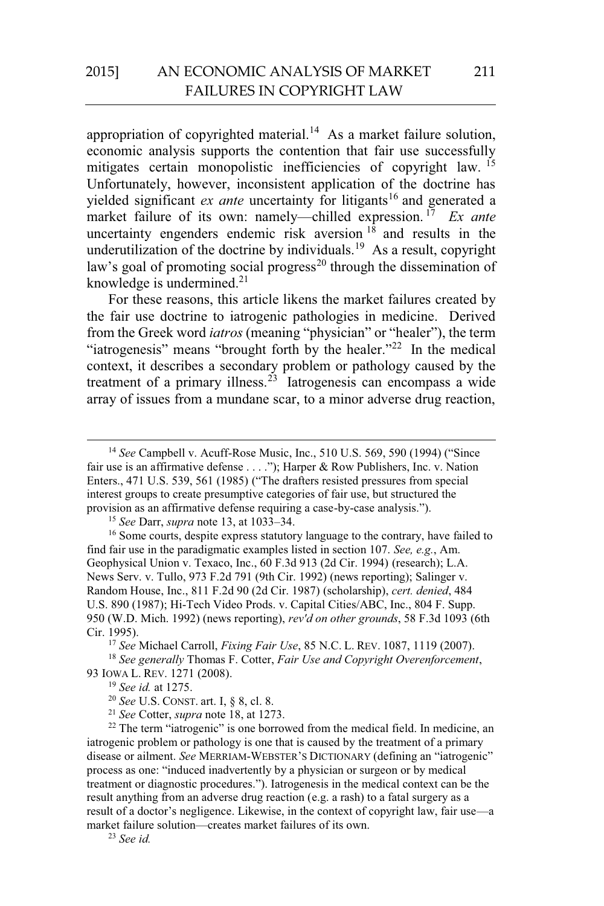appropriation of copyrighted material.<sup>14</sup> As a market failure solution, economic analysis supports the contention that fair use successfully mitigates certain monopolistic inefficiencies of copyright law. <sup>15</sup> Unfortunately, however, inconsistent application of the doctrine has yielded significant *ex ante* uncertainty for litigants<sup>16</sup> and generated a market failure of its own: namely—chilled expression. 17 *Ex ante* uncertainty engenders endemic risk aversion  $1\hat{8}$  and results in the underutilization of the doctrine by individuals.<sup>19</sup> As a result, copyright law's goal of promoting social progress<sup>20</sup> through the dissemination of knowledge is undermined. $2<sup>1</sup>$ 

For these reasons, this article likens the market failures created by the fair use doctrine to iatrogenic pathologies in medicine. Derived from the Greek word *iatros* (meaning "physician" or "healer"), the term "iatrogenesis" means "brought forth by the healer."<sup>22</sup> In the medical context, it describes a secondary problem or pathology caused by the treatment of a primary illness.<sup>23</sup> Iatrogenesis can encompass a wide array of issues from a mundane scar, to a minor adverse drug reaction,

<sup>15</sup> *See Darr, supra* note 13, at 1033–34.<br><sup>16</sup> Some courts, despite express statutory language to the contrary, have failed to find fair use in the paradigmatic examples listed in section 107. *See, e.g.*, Am. Geophysical Union v. Texaco, Inc., 60 F.3d 913 (2d Cir. 1994) (research); L.A. News Serv. v. Tullo, 973 F.2d 791 (9th Cir. 1992) (news reporting); Salinger v. Random House, Inc., 811 F.2d 90 (2d Cir. 1987) (scholarship), *cert. denied*, 484 U.S. 890 (1987); Hi-Tech Video Prods. v. Capital Cities/ABC, Inc., 804 F. Supp. 950 (W.D. Mich. 1992) (news reporting), *rev'd on other grounds*, 58 F.3d 1093 (6th

Cir. 1995). 17 *See* Michael Carroll, *Fixing Fair Use*, 85 N.C. L. REV. 1087, 1119 (2007). 18 *See generally* Thomas F. Cotter, *Fair Use and Copyright Overenforcement*,

93 IOWA L. REV. 1271 (2008).<br><sup>19</sup> *See id.* at 1275.<br><sup>20</sup> *See U.S. CONST. art.* I, § 8, cl. 8.<br><sup>21</sup> *See Cotter, supra* note 18, at 1273.<br><sup>22</sup> The term "iatrogenic" is one borrowed from the medical field. In medicine, an

iatrogenic problem or pathology is one that is caused by the treatment of a primary disease or ailment. *See* MERRIAM-WEBSTER'S DICTIONARY (defining an "iatrogenic" process as one: "induced inadvertently by a physician or surgeon or by medical treatment or diagnostic procedures."). Iatrogenesis in the medical context can be the result anything from an adverse drug reaction (e.g. a rash) to a fatal surgery as a result of a doctor's negligence. Likewise, in the context of copyright law, fair use—a market failure solution—creates market failures of its own. 23 *See id.*

 <sup>14</sup> *See* Campbell v. Acuff-Rose Music, Inc., 510 U.S. 569, 590 (1994) ("Since fair use is an affirmative defense . . . ."); Harper & Row Publishers, Inc. v. Nation Enters., 471 U.S. 539, 561 (1985) ("The drafters resisted pressures from special interest groups to create presumptive categories of fair use, but structured the provision as an affirmative defense requiring a case-by-case analysis.").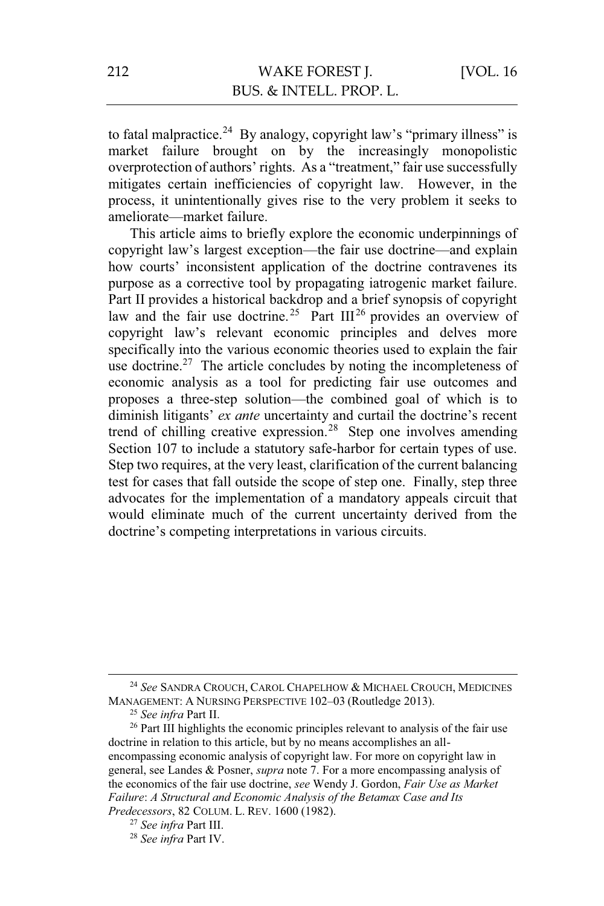to fatal malpractice.<sup>24</sup> By analogy, copyright law's "primary illness" is market failure brought on by the increasingly monopolistic overprotection of authors' rights. As a "treatment," fair use successfully mitigates certain inefficiencies of copyright law. However, in the process, it unintentionally gives rise to the very problem it seeks to ameliorate—market failure.

This article aims to briefly explore the economic underpinnings of copyright law's largest exception—the fair use doctrine—and explain how courts' inconsistent application of the doctrine contravenes its purpose as a corrective tool by propagating iatrogenic market failure. Part II provides a historical backdrop and a brief synopsis of copyright law and the fair use doctrine.<sup>25</sup> Part  $III^{26}$  provides an overview of copyright law's relevant economic principles and delves more specifically into the various economic theories used to explain the fair use doctrine.<sup>27</sup> The article concludes by noting the incompleteness of economic analysis as a tool for predicting fair use outcomes and proposes a three-step solution—the combined goal of which is to diminish litigants' *ex ante* uncertainty and curtail the doctrine's recent trend of chilling creative expression.28 Step one involves amending Section 107 to include a statutory safe-harbor for certain types of use. Step two requires, at the very least, clarification of the current balancing test for cases that fall outside the scope of step one. Finally, step three advocates for the implementation of a mandatory appeals circuit that would eliminate much of the current uncertainty derived from the doctrine's competing interpretations in various circuits.

<sup>&</sup>lt;sup>24</sup> See SANDRA CROUCH, CAROL CHAPELHOW & MICHAEL CROUCH, MEDICINES MANAGEMENT: A NURSING PERSPECTIVE 102-03 (Routledge 2013).

<sup>&</sup>lt;sup>25</sup> See infra Part II.<br><sup>26</sup> Part III highlights the economic principles relevant to analysis of the fair use doctrine in relation to this article, but by no means accomplishes an allencompassing economic analysis of copyright law. For more on copyright law in general, see Landes & Posner, *supra* note 7. For a more encompassing analysis of the economics of the fair use doctrine, *see* Wendy J. Gordon, *Fair Use as Market Failure*: *A Structural and Economic Analysis of the Betamax Case and Its* 

*Predecessors*, 82 COLUM. L. REV. 1600 (1982). 27 *See infra* Part III. 28 *See infra* Part IV.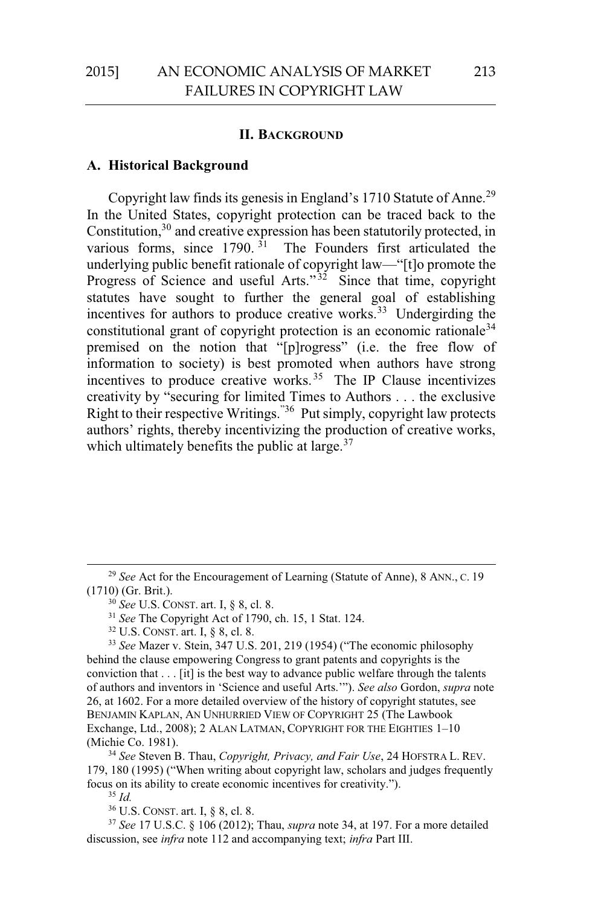#### **II. BACKGROUND**

#### **A. Historical Background**

Copyright law finds its genesis in England's 1710 Statute of Anne.<sup>29</sup> In the United States, copyright protection can be traced back to the Constitution, $30$  and creative expression has been statutorily protected, in various forms, since  $1790$ . <sup>31</sup> The Founders first articulated the underlying public benefit rationale of copyright law—"[t]o promote the Progress of Science and useful Arts."<sup>32</sup> Since that time, copyright statutes have sought to further the general goal of establishing incentives for authors to produce creative works.<sup>33</sup> Undergirding the constitutional grant of copyright protection is an economic rationale<sup>34</sup> premised on the notion that "[p]rogress" (i.e. the free flow of information to society) is best promoted when authors have strong incentives to produce creative works. 35 The IP Clause incentivizes creativity by "securing for limited Times to Authors . . . the exclusive Right to their respective Writings."36 Put simply, copyright law protects authors' rights, thereby incentivizing the production of creative works, which ultimately benefits the public at large. $37$ 

179, 180 (1995) ("When writing about copyright law, scholars and judges frequently focus on its ability to create economic incentives for creativity.").

 $\frac{35}{35}$ *Id.*  $\frac{36}{36}$  U.S. CONST. art. I, § 8, cl. 8.

 $37$  See 17 U.S.C. § 106 (2012); Thau, *supra* note 34, at 197. For a more detailed discussion, see *infra* note 112 and accompanying text; *infra* Part III.

<sup>&</sup>lt;sup>29</sup> See Act for the Encouragement of Learning (Statute of Anne), 8 ANN., C. 19 (1710) (Gr. Brit.). 30 *See* U.S. CONST. art. I, § 8, cl. 8. 31 *See* The Copyright Act of 1790, ch. 15, 1 Stat. 124. 32 U.S. CONST. art. I, § 8, cl. 8.

<sup>33</sup> *See* Mazer v. Stein, 347 U.S. 201, 219 (1954) ("The economic philosophy behind the clause empowering Congress to grant patents and copyrights is the conviction that . . . [it] is the best way to advance public welfare through the talents of authors and inventors in 'Science and useful Arts.'"). *See also* Gordon, *supra* note 26, at 1602. For a more detailed overview of the history of copyright statutes, see BENJAMIN KAPLAN, AN UNHURRIED VIEW OF COPYRIGHT 25 (The Lawbook Exchange, Ltd., 2008); 2 ALAN LATMAN, COPYRIGHT FOR THE EIGHTIES 1–10 (Michie Co. 1981). 34 *See* Steven B. Thau, *Copyright, Privacy, and Fair Use*, 24 HOFSTRA L. REV.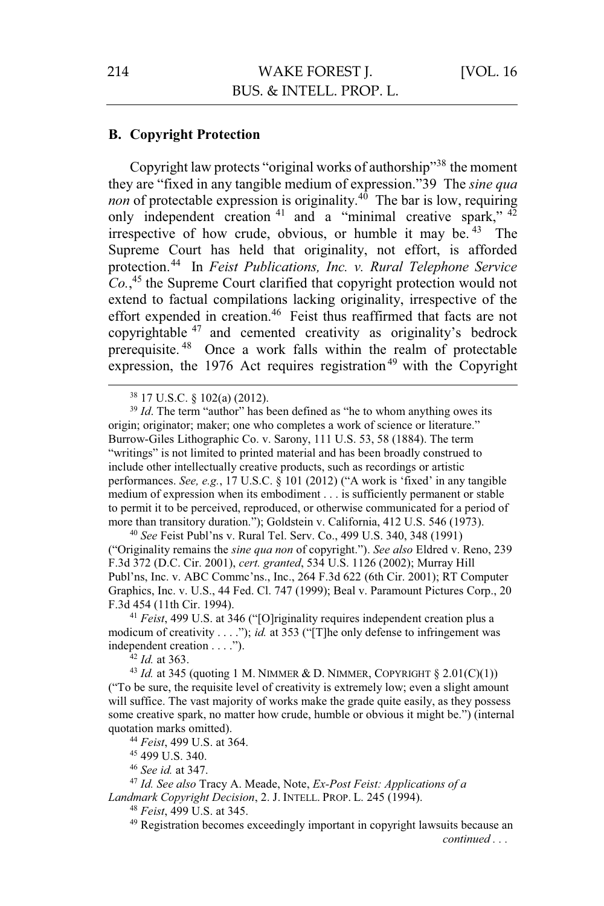## **B. Copyright Protection**

Copyright law protects "original works of authorship"38 the moment they are "fixed in any tangible medium of expression."39 The *sine qua non* of protectable expression is originality.<sup>40</sup> The bar is low, requiring only independent creation<sup>41</sup> and a "minimal creative spark," <sup>42</sup> irrespective of how crude, obvious, or humble it may be.  $43$  The Supreme Court has held that originality, not effort, is afforded protection.44 In *Feist Publications, Inc. v. Rural Telephone Service Co.*, 45 the Supreme Court clarified that copyright protection would not extend to factual compilations lacking originality, irrespective of the effort expended in creation.<sup>46</sup> Feist thus reaffirmed that facts are not copyrightable <sup>47</sup> and cemented creativity as originality's bedrock prerequisite. 48 Once a work falls within the realm of protectable expression, the 1976 Act requires registration<sup>49</sup> with the Copyright

<sup>39</sup> *Id*. The term "author" has been defined as "he to whom anything owes its origin; originator; maker; one who completes a work of science or literature." Burrow-Giles Lithographic Co. v. Sarony, 111 U.S. 53, 58 (1884). The term "writings" is not limited to printed material and has been broadly construed to include other intellectually creative products, such as recordings or artistic performances. *See, e.g.*, 17 U.S.C. § 101 (2012) ("A work is 'fixed' in any tangible medium of expression when its embodiment . . . is sufficiently permanent or stable to permit it to be perceived, reproduced, or otherwise communicated for a period of more than transitory duration."); Goldstein v. California, 412 U.S. 546 (1973). 40 *See* Feist Publ'ns v. Rural Tel. Serv. Co., 499 U.S. 340, 348 (1991)

("Originality remains the *sine qua non* of copyright."). *See also* Eldred v. Reno, 239 F.3d 372 (D.C. Cir. 2001), *cert. granted*, 534 U.S. 1126 (2002); Murray Hill Publ'ns, Inc. v. ABC Commc'ns., Inc., 264 F.3d 622 (6th Cir. 2001); RT Computer Graphics, Inc. v. U.S., 44 Fed. Cl. 747 (1999); Beal v. Paramount Pictures Corp., 20 F.3d 454 (11th Cir. 1994). 41 *Feist*, 499 U.S. at 346 ("[O]riginality requires independent creation plus a

modicum of creativity . . . ."); *id.* at 353 ("[T]he only defense to infringement was independent creation . . . .").<br><sup>42</sup> *Id.* at 363.

<sup>43</sup> *Id.* at 345 (quoting 1 M. NIMMER & D. NIMMER, COPYRIGHT  $\S$  2.01(C)(1)) ("To be sure, the requisite level of creativity is extremely low; even a slight amount will suffice. The vast majority of works make the grade quite easily, as they possess some creative spark, no matter how crude, humble or obvious it might be.") (internal quotation marks omitted). 44 *Feist*, 499 U.S. at 364. 45 499 U.S. 340.

<sup>46</sup> *See id.* at 347. 47 *Id. See also* Tracy A. Meade, Note, *Ex-Post Feist: Applications of a Landmark Copyright Decision*, 2. J. INTELL. PROP. L. 245 (1994).<br><sup>48</sup> *Feist*, 499 U.S. at 345.<br><sup>49</sup> Registration becomes exceedingly important in copyright lawsuits because an

 <sup>38 17</sup> U.S.C. § 102(a) (2012).

*continued . . .*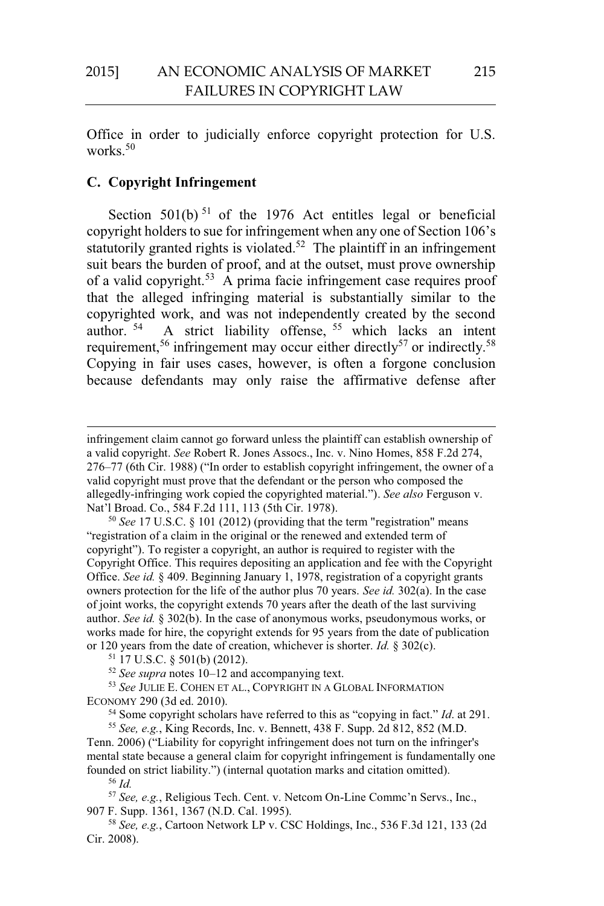Office in order to judicially enforce copyright protection for U.S. works.<sup>50</sup>

## **C. Copyright Infringement**

Section  $501(b)$ <sup>51</sup> of the 1976 Act entitles legal or beneficial copyright holders to sue for infringement when any one of Section 106's statutorily granted rights is violated.<sup>52</sup> The plaintiff in an infringement suit bears the burden of proof, and at the outset, must prove ownership of a valid copyright.<sup>53</sup> A prima facie infringement case requires proof that the alleged infringing material is substantially similar to the copyrighted work, and was not independently created by the second author.<sup>54</sup> A strict liability offense, <sup>55</sup> which lacks an intent requirement,<sup>56</sup> infringement may occur either directly<sup>57</sup> or indirectly.<sup>58</sup> Copying in fair uses cases, however, is often a forgone conclusion because defendants may only raise the affirmative defense after

"registration of a claim in the original or the renewed and extended term of copyright"). To register a copyright, an author is required to register with the Copyright Office. This requires depositing an application and fee with the Copyright Office. *See id.* § 409. Beginning January 1, 1978, registration of a copyright grants owners protection for the life of the author plus 70 years. *See id.* 302(a). In the case of joint works, the copyright extends 70 years after the death of the last surviving author. *See id.* § 302(b). In the case of anonymous works, pseudonymous works, or works made for hire, the copyright extends for 95 years from the date of publication or 120 years from the date of creation, whichever is shorter. *Id.* § 302(c).<br><sup>51</sup> 17 U.S.C. § 501(b) (2012).<br><sup>52</sup> See supra notes 10–12 and accompanying text.

<sup>53</sup> See JULIE E. COHEN ET AL., COPYRIGHT IN A GLOBAL INFORMATION ECONOMY 290 (3d ed. 2010).

<sup>54</sup> Some copyright scholars have referred to this as "copying in fact." *Id.* at 291.<br><sup>55</sup> *See, e.g.*, King Records, Inc. v. Bennett, 438 F. Supp. 2d 812, 852 (M.D.

Tenn. 2006) ("Liability for copyright infringement does not turn on the infringer's mental state because a general claim for copyright infringement is fundamentally one founded on strict liability.") (internal quotation marks and citation omitted).<br><sup>56</sup> Id.

 $\overline{a}$ 

<sup>57</sup> See, e.g., Religious Tech. Cent. v. Netcom On-Line Commc'n Servs., Inc., 907 F. Supp. 1361, 1367 (N.D. Cal. 1995). 58 *See, e.g.*, Cartoon Network LP v. CSC Holdings, Inc., 536 F.3d 121, 133 (2d

Cir. 2008).

infringement claim cannot go forward unless the plaintiff can establish ownership of a valid copyright. *See* Robert R. Jones Assocs., Inc. v. Nino Homes, 858 F.2d 274, 276–77 (6th Cir. 1988) ("In order to establish copyright infringement, the owner of a valid copyright must prove that the defendant or the person who composed the allegedly-infringing work copied the copyrighted material."). *See also* Ferguson v. Nat'l Broad. Co., 584 F.2d 111, 113 (5th Cir. 1978).<br><sup>50</sup> *See* 17 U.S.C. § 101 (2012) (providing that the term "registration" means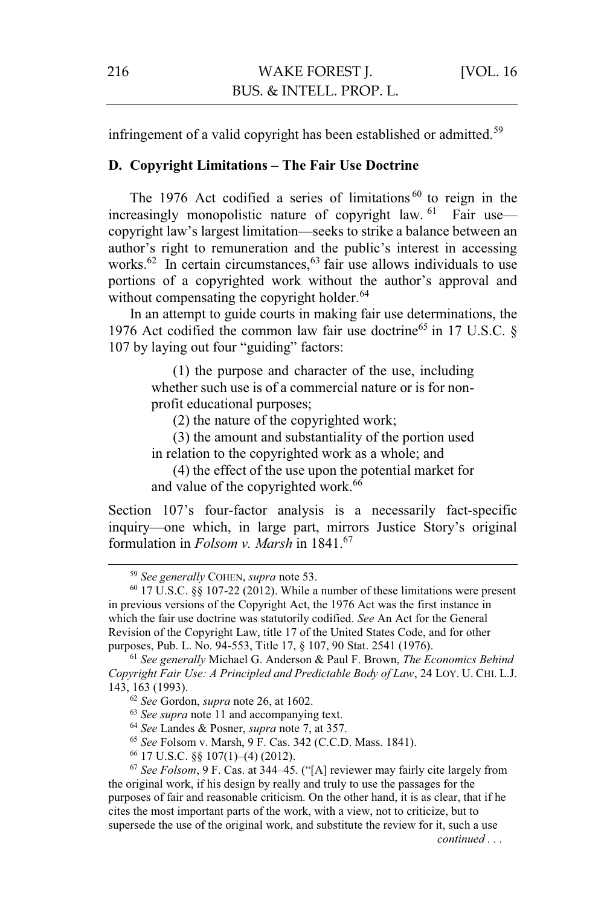infringement of a valid copyright has been established or admitted.<sup>59</sup>

## **D. Copyright Limitations – The Fair Use Doctrine**

The 1976 Act codified a series of limitations<sup>60</sup> to reign in the increasingly monopolistic nature of copyright law.  $61$  Fair use copyright law's largest limitation—seeks to strike a balance between an author's right to remuneration and the public's interest in accessing works.<sup>62</sup> In certain circumstances,<sup>63</sup> fair use allows individuals to use portions of a copyrighted work without the author's approval and without compensating the copyright holder.<sup>64</sup>

In an attempt to guide courts in making fair use determinations, the 1976 Act codified the common law fair use doctrine<sup>65</sup> in 17 U.S.C.  $\S$ 107 by laying out four "guiding" factors:

> (1) the purpose and character of the use, including whether such use is of a commercial nature or is for nonprofit educational purposes;

(2) the nature of the copyrighted work;

(3) the amount and substantiality of the portion used in relation to the copyrighted work as a whole; and

(4) the effect of the use upon the potential market for and value of the copyrighted work.<sup>66</sup>

Section 107's four-factor analysis is a necessarily fact-specific inquiry—one which, in large part, mirrors Justice Story's original formulation in *Folsom v. Marsh* in 1841.<sup>67</sup>

*Copyright Fair Use: A Principled and Predictable Body of Law*, 24 LOY. U. CHI. L.J. 143, 163 (1993).<br>
<sup>62</sup> See Gordon, *supra* note 26, at 1602.<br>
<sup>63</sup> See supra note 11 and accompanying text.<br>
<sup>64</sup> See Landes & Posner, *supra* note 7, at 357.<br>
<sup>65</sup> See Folsom v. Marsh, 9 F. Cas. 342 (C.C.D. Mass. 1841).<br>

- 
- 

the original work, if his design by really and truly to use the passages for the purposes of fair and reasonable criticism. On the other hand, it is as clear, that if he cites the most important parts of the work, with a view, not to criticize, but to supersede the use of the original work, and substitute the review for it, such a use

*continued . . .* 

<sup>59</sup> *See generally* COHEN, *supra* note 53. 60 17 U.S.C. §§ 107-22 (2012). While a number of these limitations were present in previous versions of the Copyright Act, the 1976 Act was the first instance in which the fair use doctrine was statutorily codified. *See* An Act for the General Revision of the Copyright Law, title 17 of the United States Code, and for other purposes, Pub. L. No. 94-553, Title 17, § 107, 90 Stat. 2541 (1976). 61 *See generally* Michael G. Anderson & Paul F. Brown, *The Economics Behind*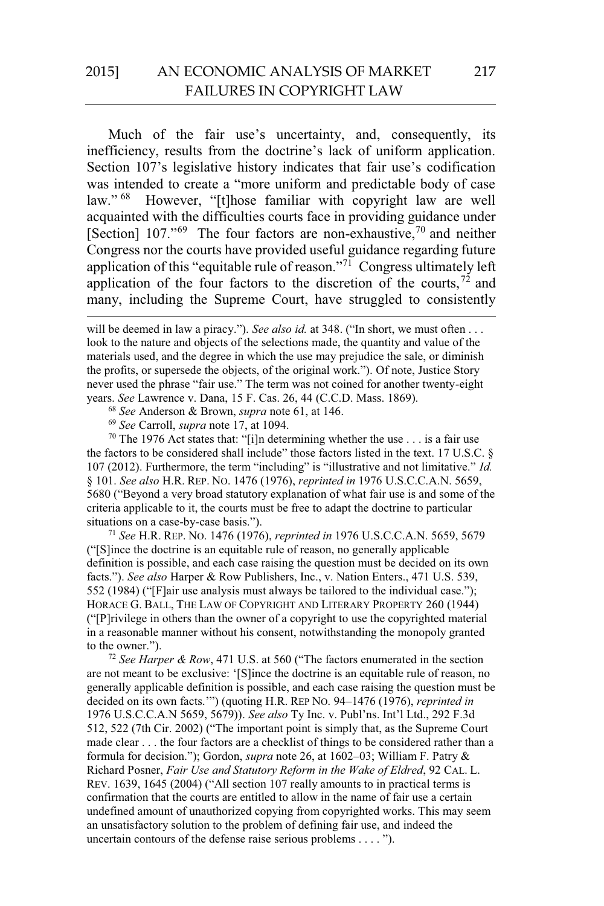# 2015] AN ECONOMIC ANALYSIS OF MARKET FAILURES IN COPYRIGHT LAW

Much of the fair use's uncertainty, and, consequently, its inefficiency, results from the doctrine's lack of uniform application. Section 107's legislative history indicates that fair use's codification was intended to create a "more uniform and predictable body of case law." <sup>68</sup> However. "It those familiar with copyright law are well However, "[t]hose familiar with copyright law are well acquainted with the difficulties courts face in providing guidance under [Section] 107."<sup>69</sup> The four factors are non-exhaustive,<sup>70</sup> and neither Congress nor the courts have provided useful guidance regarding future application of this "equitable rule of reason."71 Congress ultimately left application of the four factors to the discretion of the courts,  $72$  and many, including the Supreme Court, have struggled to consistently

 $\overline{a}$ 

<sup>68</sup> See Anderson & Brown, *supra* note 61, at 146.<br><sup>69</sup> See Carroll, *supra* note 17, at 1094.<br><sup>70</sup> The 1976 Act states that: "[i]n determining whether the use . . . is a fair use the factors to be considered shall include" those factors listed in the text. 17 U.S.C. § 107 (2012). Furthermore, the term "including" is "illustrative and not limitative." *Id.* § 101. *See also* H.R. REP. NO. 1476 (1976), *reprinted in* 1976 U.S.C.C.A.N. 5659, 5680 ("Beyond a very broad statutory explanation of what fair use is and some of the criteria applicable to it, the courts must be free to adapt the doctrine to particular situations on a case-by-case basis.").

<sup>71</sup> *See* H.R. REP. NO. 1476 (1976), *reprinted in* 1976 U.S.C.C.A.N. 5659, 5679 ("[S]ince the doctrine is an equitable rule of reason, no generally applicable definition is possible, and each case raising the question must be decided on its own facts."). *See also* Harper & Row Publishers, Inc., v. Nation Enters., 471 U.S. 539, 552 (1984) ("[F]air use analysis must always be tailored to the individual case."); HORACE G. BALL, THE LAW OF COPYRIGHT AND LITERARY PROPERTY 260 (1944) ("[P]rivilege in others than the owner of a copyright to use the copyrighted material in a reasonable manner without his consent, notwithstanding the monopoly granted to the owner.").

<sup>72</sup> *See Harper & Row*, 471 U.S. at 560 ("The factors enumerated in the section are not meant to be exclusive: '[S]ince the doctrine is an equitable rule of reason, no generally applicable definition is possible, and each case raising the question must be decided on its own facts.'") (quoting H.R. REP NO. 94–1476 (1976), *reprinted in*  1976 U.S.C.C.A.N 5659, 5679)). *See also* Ty Inc. v. Publ'ns. Int'l Ltd., 292 F.3d 512, 522 (7th Cir. 2002) ("The important point is simply that, as the Supreme Court made clear . . . the four factors are a checklist of things to be considered rather than a formula for decision."); Gordon, *supra* note 26, at 1602–03; William F. Patry & Richard Posner, *Fair Use and Statutory Reform in the Wake of Eldred*, 92 CAL. L. REV. 1639, 1645 (2004) ("All section 107 really amounts to in practical terms is confirmation that the courts are entitled to allow in the name of fair use a certain undefined amount of unauthorized copying from copyrighted works. This may seem an unsatisfactory solution to the problem of defining fair use, and indeed the uncertain contours of the defense raise serious problems . . . . ").

will be deemed in law a piracy."). *See also id.* at 348. ("In short, we must often . . . look to the nature and objects of the selections made, the quantity and value of the materials used, and the degree in which the use may prejudice the sale, or diminish the profits, or supersede the objects, of the original work."). Of note, Justice Story never used the phrase "fair use." The term was not coined for another twenty-eight years. See Lawrence v. Dana, 15 F. Cas. 26, 44 (C.C.D. Mass. 1869).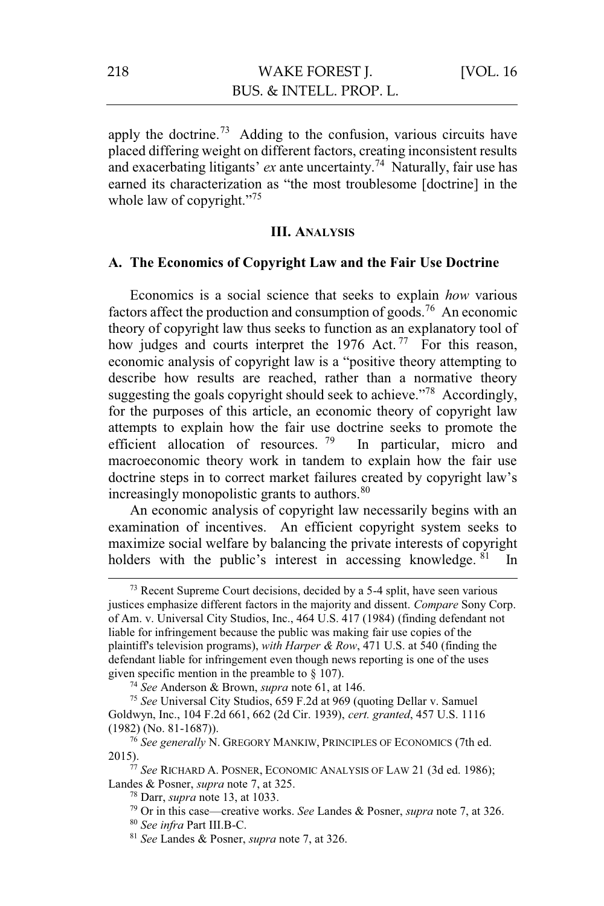apply the doctrine.<sup>73</sup> Adding to the confusion, various circuits have placed differing weight on different factors, creating inconsistent results and exacerbating litigants' *ex* ante uncertainty.<sup>74</sup> Naturally, fair use has earned its characterization as "the most troublesome [doctrine] in the whole law of copyright."<sup>75</sup>

#### **III. ANALYSIS**

### **A. The Economics of Copyright Law and the Fair Use Doctrine**

Economics is a social science that seeks to explain *how* various factors affect the production and consumption of goods.<sup>76</sup> An economic theory of copyright law thus seeks to function as an explanatory tool of how judges and courts interpret the 1976 Act.<sup>77</sup> For this reason, economic analysis of copyright law is a "positive theory attempting to describe how results are reached, rather than a normative theory suggesting the goals copyright should seek to achieve."<sup>78</sup> Accordingly, for the purposes of this article, an economic theory of copyright law attempts to explain how the fair use doctrine seeks to promote the efficient allocation of resources.<sup>79</sup> In particular, micro and macroeconomic theory work in tandem to explain how the fair use doctrine steps in to correct market failures created by copyright law's increasingly monopolistic grants to authors.<sup>80</sup>

An economic analysis of copyright law necessarily begins with an examination of incentives. An efficient copyright system seeks to maximize social welfare by balancing the private interests of copyright holders with the public's interest in accessing knowledge. <sup>81</sup> In

<sup>&</sup>lt;sup>73</sup> Recent Supreme Court decisions, decided by a 5-4 split, have seen various justices emphasize different factors in the majority and dissent. *Compare* Sony Corp. of Am. v. Universal City Studios, Inc., 464 U.S. 417 (1984) (finding defendant not liable for infringement because the public was making fair use copies of the plaintiff's television programs), *with Harper & Row*, 471 U.S. at 540 (finding the defendant liable for infringement even though news reporting is one of the uses given specific mention in the preamble to  $\S$  107).

<sup>&</sup>lt;sup>74</sup> *See* Anderson & Brown, *supra* note 61, at 146. *The See Universal City Studios, 659 F.2d at 969 (quoting Dellar v. Samuel)* Goldwyn, Inc., 104 F.2d 661, 662 (2d Cir. 1939), *cert. granted*, 457 U.S. 1116

<sup>(1982) (</sup>No. 81-1687)). 76 *See generally* N. GREGORY MANKIW, PRINCIPLES OF ECONOMICS (7th ed.

<sup>&</sup>lt;sup>77</sup> See RICHARD A. POSNER, ECONOMIC ANALYSIS OF LAW 21 (3d ed. 1986); Landes & Posner, *supra* note 7, at 325.<br><sup>78</sup> Darr, *supra* note 13, at 1033.<br><sup>79</sup> Or in this case—creative works. *See* Landes & Posner, *supra* note 7, at 326.<br><sup>80</sup> See infra Part III.B-C.<br><sup>81</sup> See Landes & Posner, *sup*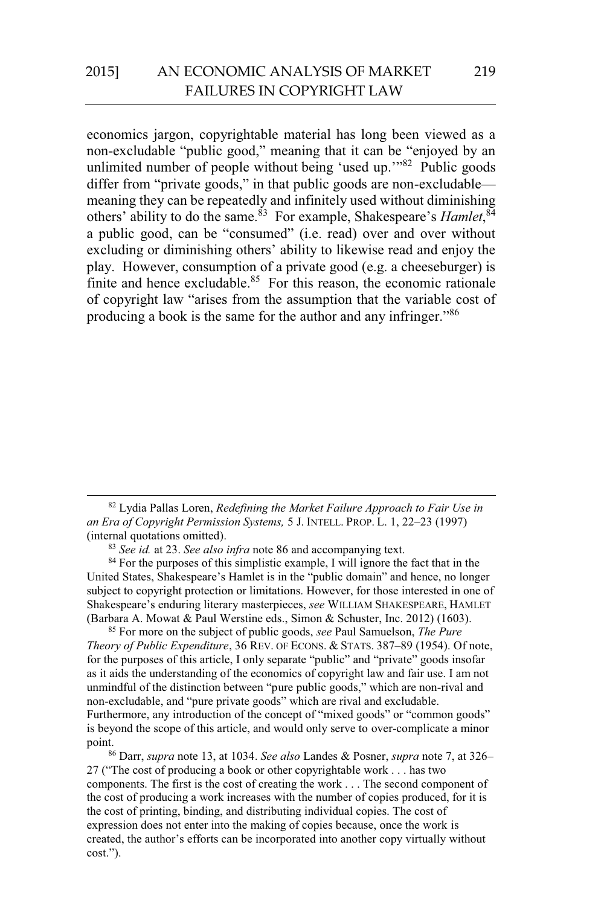economics jargon, copyrightable material has long been viewed as a non-excludable "public good," meaning that it can be "enjoyed by an unlimited number of people without being 'used up."<sup>82</sup> Public goods differ from "private goods," in that public goods are non-excludable meaning they can be repeatedly and infinitely used without diminishing others' ability to do the same.<sup>83</sup> For example, Shakespeare's *Hamlet*,<sup>84</sup> a public good, can be "consumed" (i.e. read) over and over without excluding or diminishing others' ability to likewise read and enjoy the play. However, consumption of a private good (e.g. a cheeseburger) is finite and hence excludable. $85$  For this reason, the economic rationale of copyright law "arises from the assumption that the variable cost of producing a book is the same for the author and any infringer."86

 82 Lydia Pallas Loren, *Redefining the Market Failure Approach to Fair Use in an Era of Copyright Permission Systems,* 5 J. INTELL. PROP. L. 1, 22–23 (1997)

<sup>83</sup> *See id.* at 23. *See also infra* note 86 and accompanying text. <sup>84</sup> For the purposes of this simplistic example, I will ignore the fact that in the United States, Shakespeare's Hamlet is in the "public domain" and hence, no longer subject to copyright protection or limitations. However, for those interested in one of Shakespeare's enduring literary masterpieces, *see* WILLIAM SHAKESPEARE, HAMLET (Barbara A. Mowat & Paul Werstine eds., Simon & Schuster, Inc. 2012) (1603). 85 For more on the subject of public goods, *see* Paul Samuelson, *The Pure* 

*Theory of Public Expenditure*, 36 REV. OF ECONS. & STATS. 387–89 (1954). Of note, for the purposes of this article, I only separate "public" and "private" goods insofar as it aids the understanding of the economics of copyright law and fair use. I am not unmindful of the distinction between "pure public goods," which are non-rival and non-excludable, and "pure private goods" which are rival and excludable. Furthermore, any introduction of the concept of "mixed goods" or "common goods" is beyond the scope of this article, and would only serve to over-complicate a minor point. 86 Darr, *supra* note 13, at 1034. *See also* Landes & Posner, *supra* note 7, at 326–

27 ("The cost of producing a book or other copyrightable work . . . has two components. The first is the cost of creating the work . . . The second component of the cost of producing a work increases with the number of copies produced, for it is the cost of printing, binding, and distributing individual copies. The cost of expression does not enter into the making of copies because, once the work is created, the author's efforts can be incorporated into another copy virtually without cost.").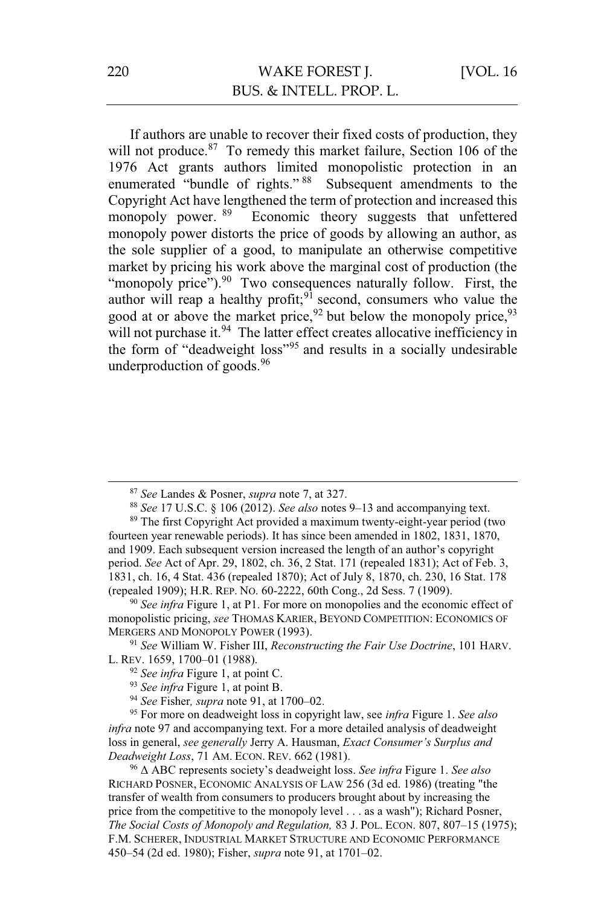If authors are unable to recover their fixed costs of production, they will not produce.<sup>87</sup> To remedy this market failure, Section 106 of the 1976 Act grants authors limited monopolistic protection in an enumerated "bundle of rights." 88 Subsequent amendments to the Copyright Act have lengthened the term of protection and increased this<br>monopoly power. <sup>89</sup> Economic theory suggests that unfettered Economic theory suggests that unfettered monopoly power distorts the price of goods by allowing an author, as the sole supplier of a good, to manipulate an otherwise competitive market by pricing his work above the marginal cost of production (the "monopoly price"). $90$  Two consequences naturally follow. First, the author will reap a healthy profit;  $9^{\frac{1}{2}}$  second, consumers who value the good at or above the market price,  $92$  but below the monopoly price,  $93$ will not purchase it.<sup>94</sup> The latter effect creates allocative inefficiency in the form of "deadweight loss"95 and results in a socially undesirable underproduction of goods. $96$ 

<sup>87</sup> *See* Landes & Posner, *supra* note 7, at 327. 88 *See* 17 U.S.C. § 106 (2012). *See also* notes 9–13 and accompanying text. 89 The first Copyright Act provided a maximum twenty-eight-year period (two

monopolistic pricing, *see* THOMAS KARIER, BEYOND COMPETITION: ECONOMICS OF MERGERS AND MONOPOLY POWER (1993). 91 *See* William W. Fisher III, *Reconstructing the Fair Use Doctrine*, 101 HARV.

L. REV. 1659, 1700–01 (1988).<br>
<sup>92</sup> See infra Figure 1, at point C.<br>
<sup>93</sup> See infra Figure 1, at point B.<br>
<sup>94</sup> See Fisher, *supra* note 91, at 1700–02.<br>
<sup>95</sup> For more on deadweight loss in copyright law, see *infra* Figu

*infra* note 97 and accompanying text. For a more detailed analysis of deadweight loss in general, *see generally* Jerry A. Hausman, *Exact Consumer's Surplus and Deadweight Loss*, 71 AM. ECON. REV. 662 (1981).<br><sup>96</sup> Δ ABC represents society's deadweight loss. *See infra* Figure 1. *See also* 

RICHARD POSNER, ECONOMIC ANALYSIS OF LAW 256 (3d ed. 1986) (treating "the transfer of wealth from consumers to producers brought about by increasing the price from the competitive to the monopoly level . . . as a wash"); Richard Posner, *The Social Costs of Monopoly and Regulation,* 83 J. POL. ECON. 807, 807–15 (1975); F.M. SCHERER, INDUSTRIAL MARKET STRUCTURE AND ECONOMIC PERFORMANCE 450–54 (2d ed. 1980); Fisher, *supra* note 91, at 1701–02.

fourteen year renewable periods). It has since been amended in 1802, 1831, 1870, and 1909. Each subsequent version increased the length of an author's copyright period. *See* Act of Apr. 29, 1802, ch. 36, 2 Stat. 171 (repealed 1831); Act of Feb. 3, 1831, ch. 16, 4 Stat. 436 (repealed 1870); Act of July 8, 1870, ch. 230, 16 Stat. 178 (repealed 1909); H.R. REP. No. 60-2222, 60th Cong., 2d Sess. 7 (1909).<br><sup>90</sup> *See infra* Figure 1, at P1. For more on monopolies and the economic effect of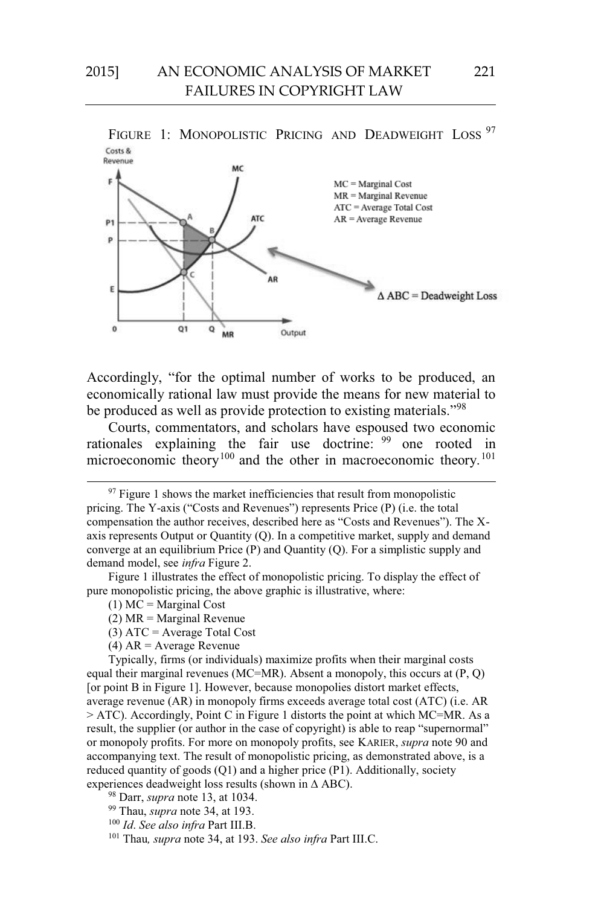

FIGURE 1: MONOPOLISTIC PRICING AND DEADWEIGHT LOSS<sup>97</sup>

Accordingly, "for the optimal number of works to be produced, an economically rational law must provide the means for new material to be produced as well as provide protection to existing materials."<sup>98</sup>

Courts, commentators, and scholars have espoused two economic rationales explaining the fair use doctrine: 99 one rooted in microeconomic theory<sup>100</sup> and the other in macroeconomic theory.<sup>101</sup>

Figure 1 illustrates the effect of monopolistic pricing. To display the effect of pure monopolistic pricing, the above graphic is illustrative, where:

- $(1)$  MC = Marginal Cost
- $(2)$  MR = Marginal Revenue
- (3) ATC = Average Total Cost
- (4) AR = Average Revenue

Typically, firms (or individuals) maximize profits when their marginal costs equal their marginal revenues (MC=MR). Absent a monopoly, this occurs at  $(P, Q)$ [or point B in Figure 1]. However, because monopolies distort market effects, average revenue (AR) in monopoly firms exceeds average total cost (ATC) (i.e. AR > ATC). Accordingly, Point C in Figure 1 distorts the point at which MC=MR. As a result, the supplier (or author in the case of copyright) is able to reap "supernormal" or monopoly profits. For more on monopoly profits, see KARIER, *supra* note 90 and accompanying text. The result of monopolistic pricing, as demonstrated above, is a reduced quantity of goods (Q1) and a higher price (P1). Additionally, society experiences deadweight loss results (shown in ∆ ABC).

98 Darr, *supra* note 13, at 1034. 99 Thau, *supra* note 34, at 193. 100 *Id*. *See also infra* Part III.B. 101 Thau*, supra* note 34, at 193. *See also infra* Part III.C.

 $97$  Figure 1 shows the market inefficiencies that result from monopolistic pricing. The Y-axis ("Costs and Revenues") represents Price (P) (i.e. the total compensation the author receives, described here as "Costs and Revenues"). The Xaxis represents Output or Quantity (Q). In a competitive market, supply and demand converge at an equilibrium Price (P) and Quantity (Q). For a simplistic supply and demand model, see *infra* Figure 2.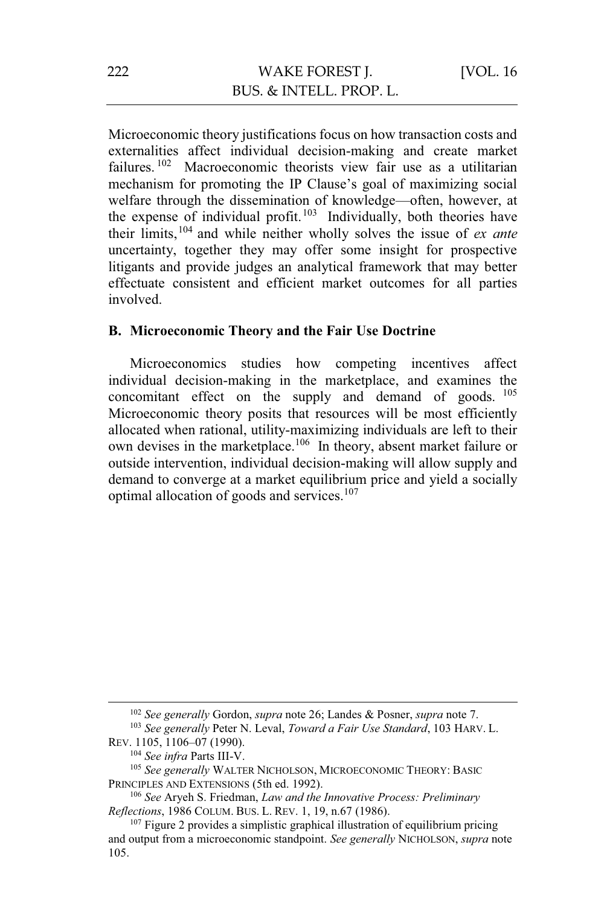Microeconomic theory justifications focus on how transaction costs and externalities affect individual decision-making and create market failures.<sup>102</sup> Macroeconomic theorists view fair use as a utilitarian mechanism for promoting the IP Clause's goal of maximizing social welfare through the dissemination of knowledge—often, however, at the expense of individual profit.<sup>103</sup> Individually, both theories have their limits,104 and while neither wholly solves the issue of *ex ante*  uncertainty, together they may offer some insight for prospective litigants and provide judges an analytical framework that may better effectuate consistent and efficient market outcomes for all parties involved.

#### **B. Microeconomic Theory and the Fair Use Doctrine**

Microeconomics studies how competing incentives affect individual decision-making in the marketplace, and examines the concomitant effect on the supply and demand of goods. <sup>105</sup> Microeconomic theory posits that resources will be most efficiently allocated when rational, utility-maximizing individuals are left to their own devises in the marketplace.<sup>106</sup> In theory, absent market failure or outside intervention, individual decision-making will allow supply and demand to converge at a market equilibrium price and yield a socially optimal allocation of goods and services.<sup>107</sup>

<sup>&</sup>lt;sup>102</sup> *See generally Gordon, supra note 26; Landes & Posner, supra note 7.* <sup>103</sup> *See generally Peter N. Leval, <i>Toward a Fair Use Standard*, 103 HARV. L. REV. 1105, 1106–07 (1990).

<sup>&</sup>lt;sup>104</sup> *See infra* Parts III-V.<br><sup>105</sup> *See generally* WALTER NICHOLSON, MICROECONOMIC THEORY: BASIC PRINCIPLES AND EXTENSIONS (5th ed. 1992).

<sup>&</sup>lt;sup>106</sup> See Aryeh S. Friedman, *Law and the Innovative Process: Preliminary* 

*Reflections*, 1986 COLUM. BUS. L. REV. 1, 19, n.67 (1986).<br><sup>107</sup> Figure 2 provides a simplistic graphical illustration of equilibrium pricing and output from a microeconomic standpoint. *See generally* NICHOLSON, *supra* note 105.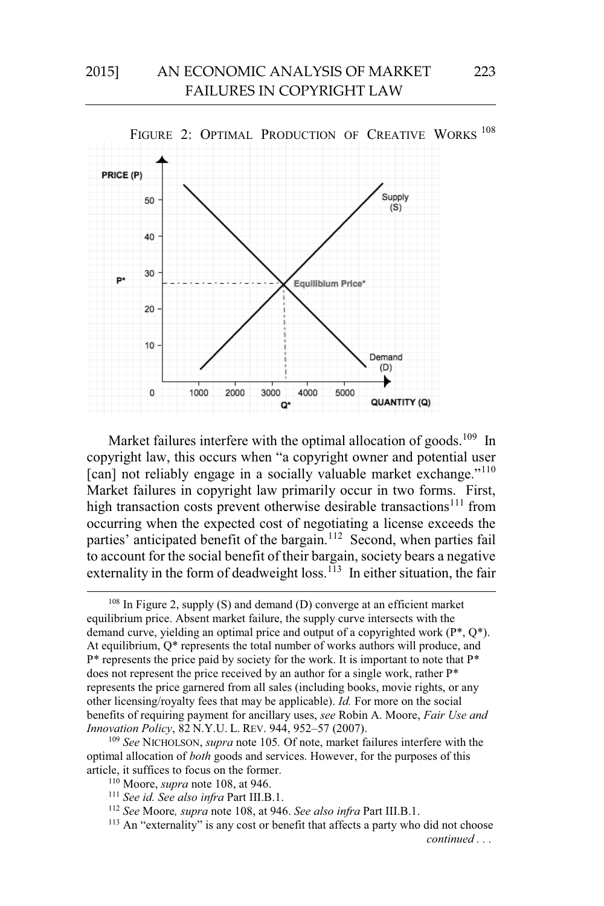

Market failures interfere with the optimal allocation of goods.<sup>109</sup> In copyright law, this occurs when "a copyright owner and potential user [can] not reliably engage in a socially valuable market exchange."<sup>110</sup> Market failures in copyright law primarily occur in two forms. First, high transaction costs prevent otherwise desirable transactions<sup>111</sup> from occurring when the expected cost of negotiating a license exceeds the parties' anticipated benefit of the bargain.<sup>112</sup> Second, when parties fail to account for the social benefit of their bargain, society bears a negative externality in the form of deadweight loss.<sup>113</sup> In either situation, the fair

optimal allocation of *both* goods and services. However, for the purposes of this article, it suffices to focus on the former.

<sup>&</sup>lt;sup>108</sup> In Figure 2, supply (S) and demand (D) converge at an efficient market equilibrium price. Absent market failure, the supply curve intersects with the demand curve, yielding an optimal price and output of a copyrighted work  $(P^*, Q^*)$ . At equilibrium, Q\* represents the total number of works authors will produce, and P\* represents the price paid by society for the work. It is important to note that P\* does not represent the price received by an author for a single work, rather P\* represents the price garnered from all sales (including books, movie rights, or any other licensing/royalty fees that may be applicable). *Id.* For more on the social benefits of requiring payment for ancillary uses, *see* Robin A. Moore, *Fair Use and Innovation Policy*, 82 N.Y.U. L. REV. 944, 952–57 (2007).<br><sup>109</sup> *See* NICHOLSON, *supra* note 105. Of note, market failures interfere with the

<sup>110</sup> Moore, *supra* note 108, at 946.<br><sup>111</sup> *See id. See also infra* Part III.B.1.<br><sup>112</sup> *See* Moore, *supra* note 108, at 946. *See also infra* Part III.B.1.

<sup>&</sup>lt;sup>113</sup> An "externality" is any cost or benefit that affects a party who did not choose *continued . . .*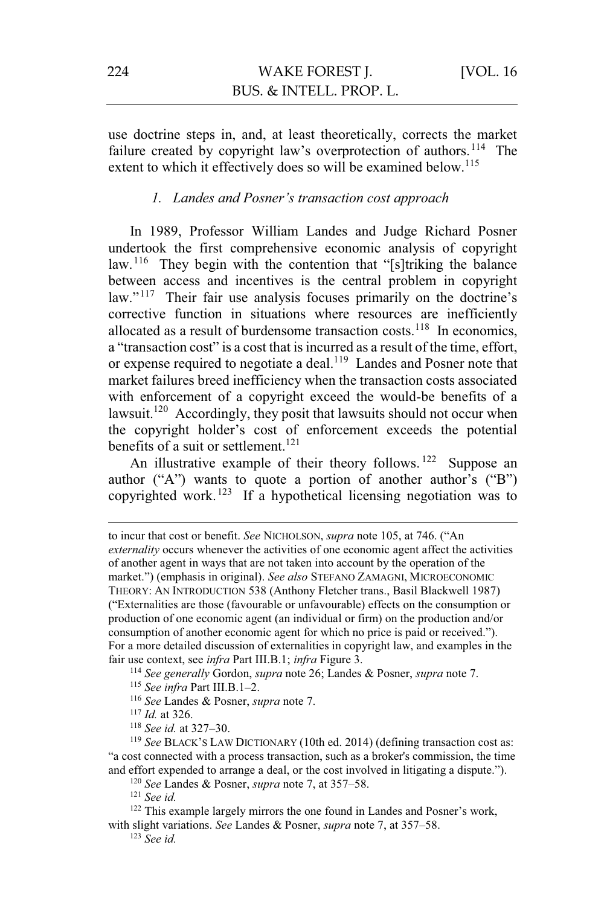use doctrine steps in, and, at least theoretically, corrects the market failure created by copyright law's overprotection of authors.<sup>114</sup> The extent to which it effectively does so will be examined below.<sup>115</sup>

#### *1. Landes and Posner's transaction cost approach*

In 1989, Professor William Landes and Judge Richard Posner undertook the first comprehensive economic analysis of copyright law.<sup>116</sup> They begin with the contention that "[s]triking the balance between access and incentives is the central problem in copyright law."<sup>117</sup> Their fair use analysis focuses primarily on the doctrine's corrective function in situations where resources are inefficiently allocated as a result of burdensome transaction costs.<sup>118</sup> In economics, a "transaction cost" is a cost that is incurred as a result of the time, effort, or expense required to negotiate a deal.<sup>119</sup> Landes and Posner note that market failures breed inefficiency when the transaction costs associated with enforcement of a copyright exceed the would-be benefits of a lawsuit.<sup>120</sup> Accordingly, they posit that lawsuits should not occur when the copyright holder's cost of enforcement exceeds the potential benefits of a suit or settlement.<sup>121</sup>

An illustrative example of their theory follows.<sup>122</sup> Suppose an author ("A") wants to quote a portion of another author's ("B") copyrighted work. 123 If a hypothetical licensing negotiation was to

 $\overline{a}$ 

"a cost connected with a process transaction, such as a broker's commission, the time and effort expended to arrange a deal, or the cost involved in litigating a dispute.").

120 *See Landes & Posner, <i>supra* note 7, at 357–58.<br><sup>121</sup> *See id.* 122 This example largely mirrors the one found in Landes and Posner's work, with slight variations. *See Landes & Posner, <i>supra* note 7, at 357–58. <sup>123</sup> *See id.* 

to incur that cost or benefit. *See* NICHOLSON, *supra* note 105, at 746. ("An *externality* occurs whenever the activities of one economic agent affect the activities of another agent in ways that are not taken into account by the operation of the market.") (emphasis in original). *See also* STEFANO ZAMAGNI, MICROECONOMIC THEORY: AN INTRODUCTION 538 (Anthony Fletcher trans., Basil Blackwell 1987) ("Externalities are those (favourable or unfavourable) effects on the consumption or production of one economic agent (an individual or firm) on the production and/or consumption of another economic agent for which no price is paid or received."). For a more detailed discussion of externalities in copyright law, and examples in the fair use context, see *infra* Part III.B.1; *infra* Figure 3.<br><sup>114</sup> See generally Gordon, *supra* note 26; Landes & Posner, *supra* note 7.<br><sup>115</sup> See *infra* Part III.B.1–2.<br><sup>116</sup> See Landes & Posner, *supra* note 7.<br><sup>117</sup>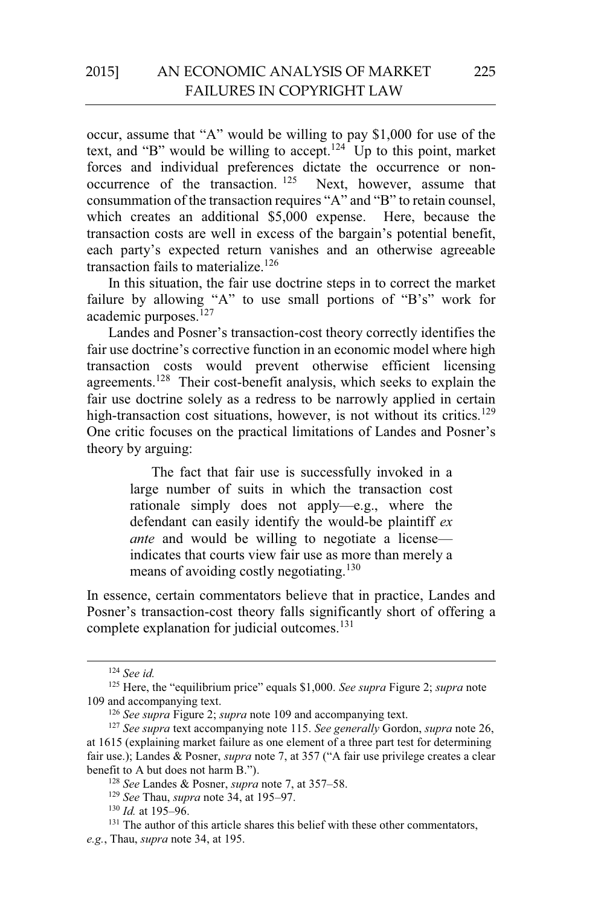occur, assume that "A" would be willing to pay \$1,000 for use of the text, and "B" would be willing to accept.<sup>124</sup> Up to this point, market forces and individual preferences dictate the occurrence or nonoccurrence of the transaction.  $125$  Next, however, assume that consummation of the transaction requires "A" and "B" to retain counsel, which creates an additional \$5,000 expense. Here, because the transaction costs are well in excess of the bargain's potential benefit, each party's expected return vanishes and an otherwise agreeable transaction fails to materialize.<sup>126</sup>

In this situation, the fair use doctrine steps in to correct the market failure by allowing "A" to use small portions of "B's" work for academic purposes.<sup>127</sup>

Landes and Posner's transaction-cost theory correctly identifies the fair use doctrine's corrective function in an economic model where high transaction costs would prevent otherwise efficient licensing agreements.<sup>128</sup> Their cost-benefit analysis, which seeks to explain the fair use doctrine solely as a redress to be narrowly applied in certain high-transaction cost situations, however, is not without its critics.<sup>129</sup> One critic focuses on the practical limitations of Landes and Posner's theory by arguing:

> The fact that fair use is successfully invoked in a large number of suits in which the transaction cost rationale simply does not apply—e.g., where the defendant can easily identify the would-be plaintiff *ex ante* and would be willing to negotiate a license indicates that courts view fair use as more than merely a means of avoiding costly negotiating.<sup>130</sup>

In essence, certain commentators believe that in practice, Landes and Posner's transaction-cost theory falls significantly short of offering a complete explanation for judicial outcomes.<sup>131</sup>

 <sup>124</sup> *See id.* 

<sup>&</sup>lt;sup>125</sup> Here, the "equilibrium price" equals \$1,000. *See supra* Figure 2; *supra* note 109 and accompanying text.

<sup>&</sup>lt;sup>126</sup> *See supra* Figure 2; *supra* note 109 and accompanying text.

<sup>127</sup> *See supra* text accompanying note 115. *See generally* Gordon, *supra* note 26, at 1615 (explaining market failure as one element of a three part test for determining fair use.); Landes & Posner, *supra* note 7, at 357 ("A fair use privilege creates a clear benefit to A but does not harm B.").<br>
<sup>128</sup> See Landes & Posner, *supra* note 7, at 357–58.<br>
<sup>129</sup> See Thau, *supra* note 34, at 195–97.<br>
<sup>130</sup> Id. at 195–96.<br>
<sup>131</sup> The author of this article shares this belief with thes

*e.g.*, Thau, *supra* note 34, at 195.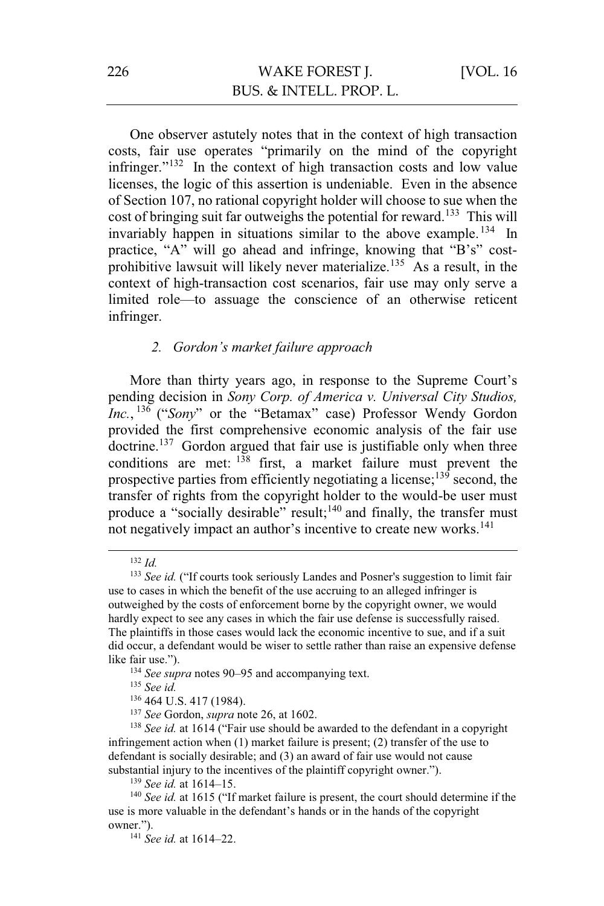One observer astutely notes that in the context of high transaction costs, fair use operates "primarily on the mind of the copyright infringer."132 In the context of high transaction costs and low value licenses, the logic of this assertion is undeniable. Even in the absence of Section 107, no rational copyright holder will choose to sue when the cost of bringing suit far outweighs the potential for reward.<sup>133</sup> This will invariably happen in situations similar to the above example.<sup>134</sup> In practice, "A" will go ahead and infringe, knowing that "B's" costprohibitive lawsuit will likely never materialize.<sup>135</sup> As a result, in the context of high-transaction cost scenarios, fair use may only serve a limited role—to assuage the conscience of an otherwise reticent infringer.

### *2. Gordon's market failure approach*

More than thirty years ago, in response to the Supreme Court's pending decision in *Sony Corp. of America v. Universal City Studios, Inc.*, <sup>136</sup> ("*Sony*" or the "Betamax" case) Professor Wendy Gordon provided the first comprehensive economic analysis of the fair use  $\mu$  doctrine.<sup>137</sup> Gordon argued that fair use is justifiable only when three conditions are met:  $138$  first, a market failure must prevent the prospective parties from efficiently negotiating a license;<sup>139</sup> second, the transfer of rights from the copyright holder to the would-be user must produce a "socially desirable" result;<sup>140</sup> and finally, the transfer must not negatively impact an author's incentive to create new works.<sup>141</sup>

<sup>137</sup> *See* Gordon, *supra* note 26, at 1602.<br><sup>138</sup> *See id.* at 1614 ("Fair use should be awarded to the defendant in a copyright infringement action when (1) market failure is present; (2) transfer of the use to defendant is socially desirable; and (3) an award of fair use would not cause substantial injury to the incentives of the plaintiff copyright owner.").

 <sup>132</sup> *Id.* 

<sup>&</sup>lt;sup>133</sup> *See id.* ("If courts took seriously Landes and Posner's suggestion to limit fair use to cases in which the benefit of the use accruing to an alleged infringer is outweighed by the costs of enforcement borne by the copyright owner, we would hardly expect to see any cases in which the fair use defense is successfully raised. The plaintiffs in those cases would lack the economic incentive to sue, and if a suit did occur, a defendant would be wiser to settle rather than raise an expensive defense like fair use.").

<sup>134</sup> *See supra* notes 90–95 and accompanying text.<br>
<sup>135</sup> *See id.* <sup>136</sup> 464 U.S. 417 (1984).

<sup>&</sup>lt;sup>139</sup> *See id.* at 1614–15.<br><sup>140</sup> *See id.* at 1615 ("If market failure is present, the court should determine if the use is more valuable in the defendant's hands or in the hands of the copyright owner.").

<sup>141</sup> *See id.* at 1614–22.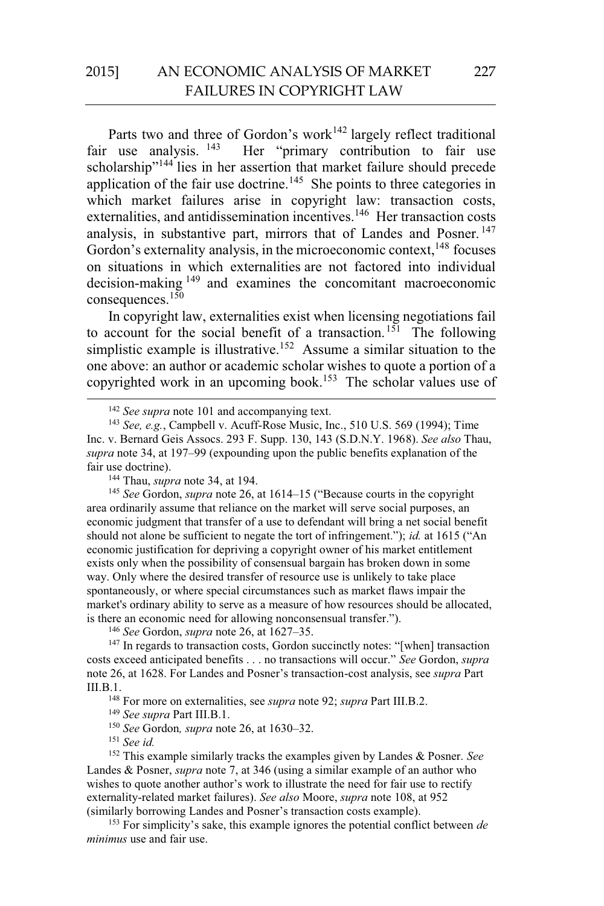# 2015] AN ECONOMIC ANALYSIS OF MARKET FAILURES IN COPYRIGHT LAW

Parts two and three of Gordon's work<sup>142</sup> largely reflect traditional fair use analysis. <sup>143</sup> Her "primary contribution to fair use Her "primary contribution to fair use scholarship"144 lies in her assertion that market failure should precede application of the fair use doctrine.<sup>145</sup> She points to three categories in which market failures arise in copyright law: transaction costs, externalities, and antidissemination incentives.<sup>146</sup> Her transaction costs analysis, in substantive part, mirrors that of Landes and Posner.<sup>147</sup> Gordon's externality analysis, in the microeconomic context, <sup>148</sup> focuses on situations in which externalities are not factored into individual decision-making 149 and examines the concomitant macroeconomic consequences.150

In copyright law, externalities exist when licensing negotiations fail to account for the social benefit of a transaction.<sup>151</sup> The following simplistic example is illustrative.<sup>152</sup> Assume a similar situation to the one above: an author or academic scholar wishes to quote a portion of a copyrighted work in an upcoming book.<sup>153</sup> The scholar values use of

area ordinarily assume that reliance on the market will serve social purposes, an economic judgment that transfer of a use to defendant will bring a net social benefit should not alone be sufficient to negate the tort of infringement."); *id.* at 1615 ("An economic justification for depriving a copyright owner of his market entitlement exists only when the possibility of consensual bargain has broken down in some way. Only where the desired transfer of resource use is unlikely to take place spontaneously, or where special circumstances such as market flaws impair the market's ordinary ability to serve as a measure of how resources should be allocated, is there an economic need for allowing nonconsensual transfer.").

<sup>146</sup> See Gordon, *supra* note 26, at 1627–35.<br><sup>147</sup> In regards to transaction costs, Gordon succinctly notes: "[when] transaction costs exceed anticipated benefits . . . no transactions will occur." *See* Gordon, *supra*  note 26, at 1628. For Landes and Posner's transaction-cost analysis, see *supra* Part III.B.1. 148 For more on externalities, see *supra* note 92; *supra* Part III.B.2. 149 *See supra* Part III.B.1. 150 *See* Gordon*, supra* note 26, at 1630–32. 151 *See id.* 

152 This example similarly tracks the examples given by Landes & Posner. *See*  Landes & Posner, *supra* note 7, at 346 (using a similar example of an author who wishes to quote another author's work to illustrate the need for fair use to rectify externality-related market failures). *See also* Moore, *supra* note 108, at 952 (similarly borrowing Landes and Posner's transaction costs example).

153 For simplicity's sake, this example ignores the potential conflict between *de minimus* use and fair use.

<sup>&</sup>lt;sup>142</sup> *See supra* note 101 and accompanying text.<br><sup>143</sup> *See, e.g.*, Campbell v. Acuff-Rose Music, Inc., 510 U.S. 569 (1994); Time Inc. v. Bernard Geis Assocs. 293 F. Supp. 130, 143 (S.D.N.Y. 1968). *See also* Thau, *supra* note 34, at 197–99 (expounding upon the public benefits explanation of the fair use doctrine).<br><sup>144</sup> Thau, *supra* note 34, at 194.<br><sup>145</sup> *See* Gordon, *supra* note 26, at 1614–15 ("Because courts in the copyright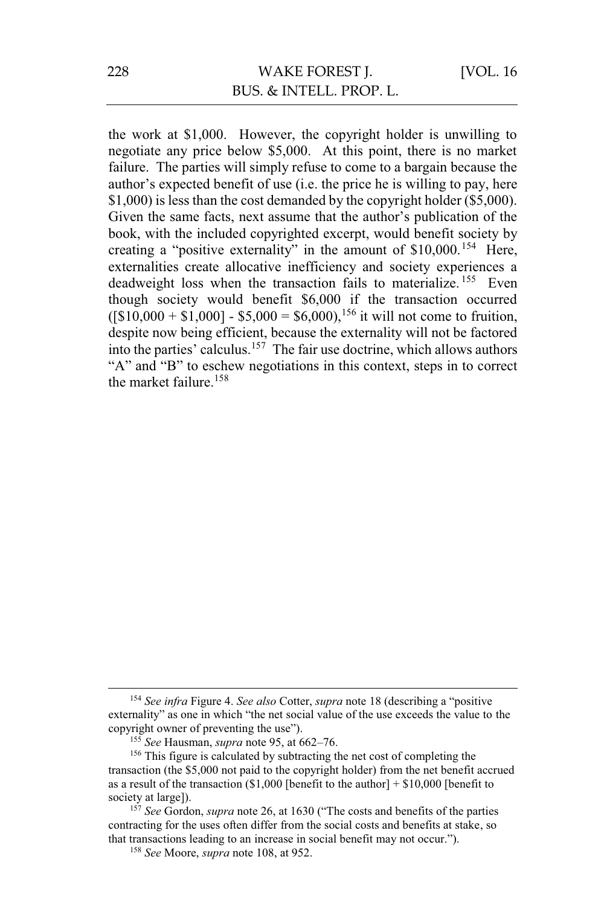the work at \$1,000. However, the copyright holder is unwilling to negotiate any price below \$5,000. At this point, there is no market failure. The parties will simply refuse to come to a bargain because the author's expected benefit of use (i.e. the price he is willing to pay, here \$1,000) is less than the cost demanded by the copyright holder (\$5,000). Given the same facts, next assume that the author's publication of the book, with the included copyrighted excerpt, would benefit society by creating a "positive externality" in the amount of \$10,000.<sup>154</sup> Here, externalities create allocative inefficiency and society experiences a deadweight loss when the transaction fails to materialize.<sup>155</sup> Even though society would benefit \$6,000 if the transaction occurred  $($ [\$10,000 + \$1,000] - \$5,000 = \$6,000),<sup>156</sup> it will not come to fruition, despite now being efficient, because the externality will not be factored into the parties' calculus.157 The fair use doctrine, which allows authors "A" and "B" to eschew negotiations in this context, steps in to correct the market failure.<sup>158</sup>

 <sup>154</sup> *See infra* Figure 4. *See also* Cotter, *supra* note 18 (describing a "positive externality" as one in which "the net social value of the use exceeds the value to the copyright owner of preventing the use").<br><sup>155</sup> See Hausman, *supra* note 95, at 662–76.

<sup>&</sup>lt;sup>156</sup> This figure is calculated by subtracting the net cost of completing the transaction (the \$5,000 not paid to the copyright holder) from the net benefit accrued as a result of the transaction  $$1,000$  [benefit to the author] +  $$10,000$  [benefit to society at large]). 157 *See* Gordon, *supra* note 26, at 1630 ("The costs and benefits of the parties

contracting for the uses often differ from the social costs and benefits at stake, so that transactions leading to an increase in social benefit may not occur.").

<sup>158</sup> *See* Moore, *supra* note 108, at 952.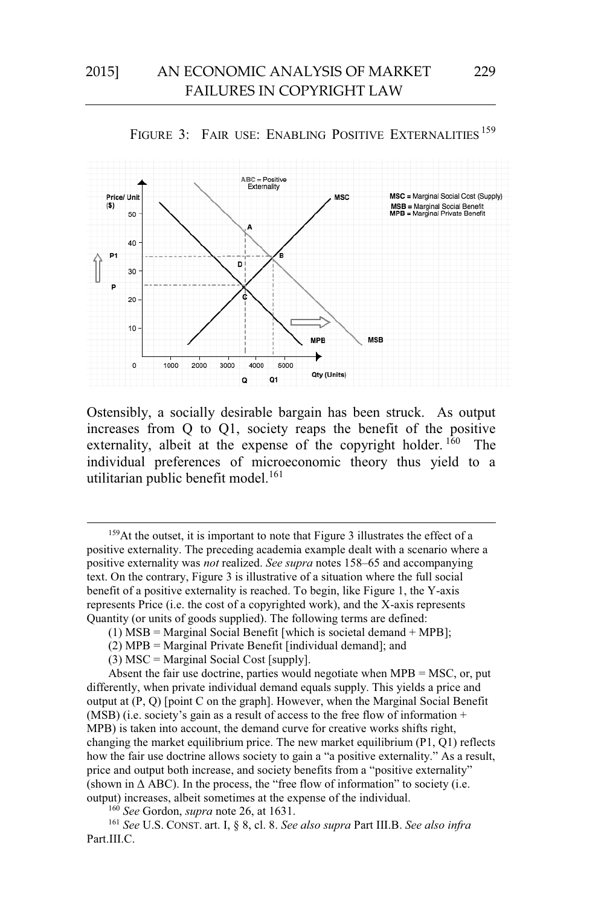



Ostensibly, a socially desirable bargain has been struck. As output increases from Q to Q1, society reaps the benefit of the positive externality, albeit at the expense of the copyright holder. <sup>160</sup> The individual preferences of microeconomic theory thus yield to a utilitarian public benefit model.<sup>161</sup>

<sup>159</sup>At the outset, it is important to note that Figure 3 illustrates the effect of a positive externality. The preceding academia example dealt with a scenario where a positive externality was *not* realized. *See supra* notes 158–65 and accompanying text. On the contrary, Figure 3 is illustrative of a situation where the full social benefit of a positive externality is reached. To begin, like Figure 1, the Y-axis represents Price (i.e. the cost of a copyrighted work), and the X-axis represents Quantity (or units of goods supplied). The following terms are defined:

Absent the fair use doctrine, parties would negotiate when MPB = MSC, or, put differently, when private individual demand equals supply. This yields a price and output at (P, Q) [point C on the graph]. However, when the Marginal Social Benefit (MSB) (i.e. society's gain as a result of access to the free flow of information + MPB) is taken into account, the demand curve for creative works shifts right, changing the market equilibrium price. The new market equilibrium  $(P1, Q1)$  reflects how the fair use doctrine allows society to gain a "a positive externality." As a result, price and output both increase, and society benefits from a "positive externality" (shown in  $\triangle$  ABC). In the process, the "free flow of information" to society (i.e. output) increases, albeit sometimes at the expense of the individual.<br><sup>160</sup> See Gordon, *supra* note 26, at 1631.<br><sup>161</sup> See U.S. CONST. art. I, § 8, cl. 8. See also supra Part III.B. See also infra

Part.III.C.

<sup>(1)</sup> MSB = Marginal Social Benefit [which is societal demand  $+$  MPB];

<sup>(2)</sup> MPB = Marginal Private Benefit [individual demand]; and

 $(3)$  MSC = Marginal Social Cost [supply].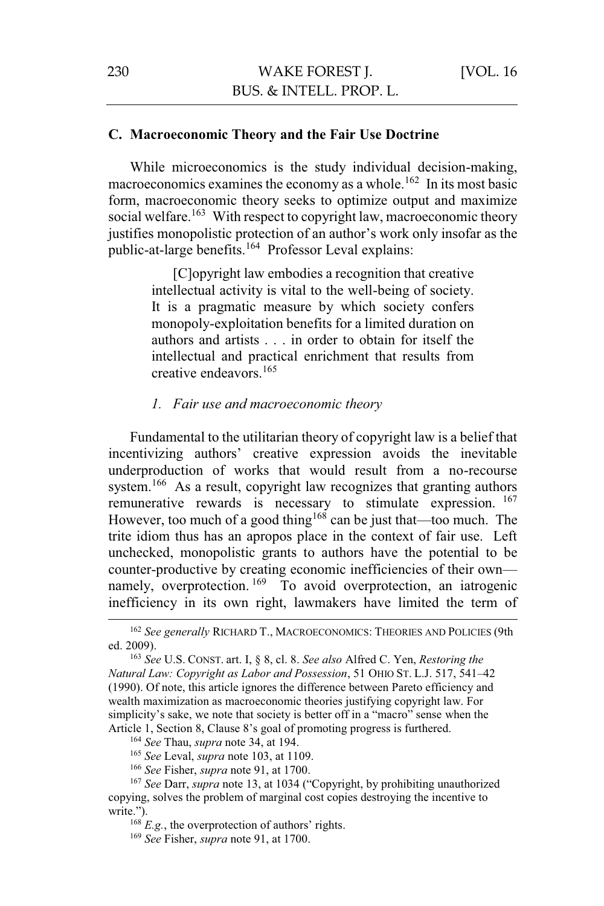### **C. Macroeconomic Theory and the Fair Use Doctrine**

While microeconomics is the study individual decision-making, macroeconomics examines the economy as a whole.<sup>162</sup> In its most basic form, macroeconomic theory seeks to optimize output and maximize social welfare.<sup>163</sup> With respect to copyright law, macroeconomic theory justifies monopolistic protection of an author's work only insofar as the public-at-large benefits.<sup>164</sup> Professor Leval explains:

> [C]opyright law embodies a recognition that creative intellectual activity is vital to the well-being of society. It is a pragmatic measure by which society confers monopoly-exploitation benefits for a limited duration on authors and artists . . . in order to obtain for itself the intellectual and practical enrichment that results from creative endeavors.<sup>165</sup>

### *1. Fair use and macroeconomic theory*

Fundamental to the utilitarian theory of copyright law is a belief that incentivizing authors' creative expression avoids the inevitable underproduction of works that would result from a no-recourse system.<sup>166</sup> As a result, copyright law recognizes that granting authors remunerative rewards is necessary to stimulate expression. 167 However, too much of a good thing<sup>168</sup> can be just that—too much. The trite idiom thus has an apropos place in the context of fair use. Left unchecked, monopolistic grants to authors have the potential to be counter-productive by creating economic inefficiencies of their own namely, overprotection.<sup>169</sup> To avoid overprotection, an iatrogenic inefficiency in its own right, lawmakers have limited the term of

<sup>165</sup> See Leval, *supra* note 103, at 1109.<br><sup>166</sup> See Fisher, *supra* note 91, at 1700.<br><sup>167</sup> See Darr, *supra* note 13, at 1034 ("Copyright, by prohibiting unauthorized copying, solves the problem of marginal cost copies destroying the incentive to write.").

<sup>168</sup> *E.g.*, the overprotection of authors' rights. 169 *See* Fisher, *supra* note 91, at 1700.

<sup>&</sup>lt;sup>162</sup> See generally RICHARD T., MACROECONOMICS: THEORIES AND POLICIES (9th ed. 2009). 163 *See* U.S. CONST. art. I, § 8, cl. 8. *See also* Alfred C. Yen, *Restoring the* 

*Natural Law: Copyright as Labor and Possession*, 51 OHIO ST. L.J. 517, 541–42 (1990). Of note, this article ignores the difference between Pareto efficiency and wealth maximization as macroeconomic theories justifying copyright law. For simplicity's sake, we note that society is better off in a "macro" sense when the Article 1, Section 8, Clause 8's goal of promoting progress is furthered.<br><sup>164</sup> See Thau, *supra* note 34, at 194.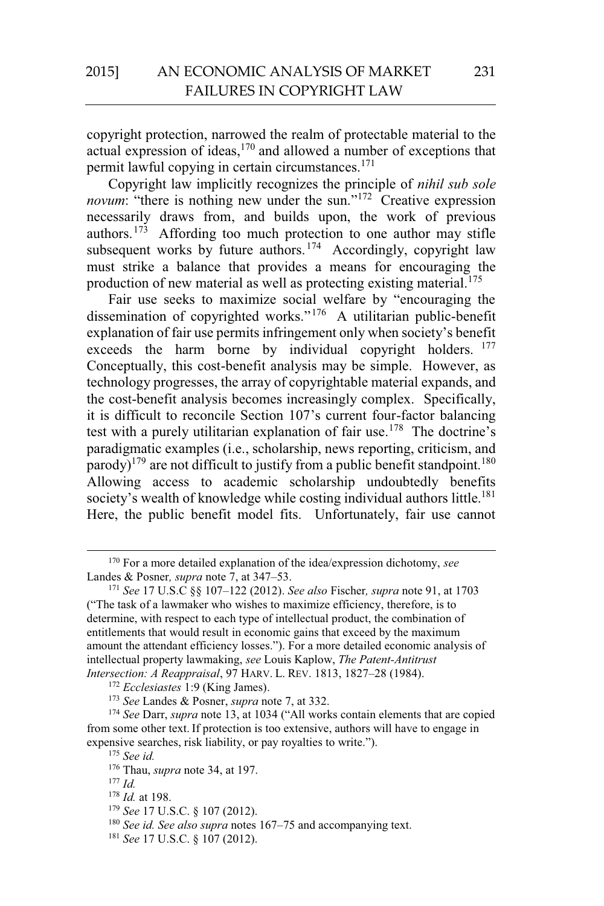copyright protection, narrowed the realm of protectable material to the actual expression of ideas, $170$  and allowed a number of exceptions that permit lawful copying in certain circumstances.171

Copyright law implicitly recognizes the principle of *nihil sub sole novum*: "there is nothing new under the sun."<sup>172</sup> Creative expression necessarily draws from, and builds upon, the work of previous authors.173 Affording too much protection to one author may stifle subsequent works by future authors.<sup>174</sup> Accordingly, copyright law must strike a balance that provides a means for encouraging the production of new material as well as protecting existing material.<sup>175</sup>

Fair use seeks to maximize social welfare by "encouraging the dissemination of copyrighted works."176 A utilitarian public-benefit explanation of fair use permits infringement only when society's benefit exceeds the harm borne by individual copyright holders. <sup>177</sup> Conceptually, this cost-benefit analysis may be simple. However, as technology progresses, the array of copyrightable material expands, and the cost-benefit analysis becomes increasingly complex. Specifically, it is difficult to reconcile Section 107's current four-factor balancing test with a purely utilitarian explanation of fair use.<sup>178</sup> The doctrine's paradigmatic examples (i.e., scholarship, news reporting, criticism, and parody)<sup>179</sup> are not difficult to justify from a public benefit standpoint.<sup>180</sup> Allowing access to academic scholarship undoubtedly benefits society's wealth of knowledge while costing individual authors little.<sup>181</sup> Here, the public benefit model fits. Unfortunately, fair use cannot

<sup>&</sup>lt;sup>170</sup> For a more detailed explanation of the idea/expression dichotomy, *see* Landes & Posner, *supra* note 7, at 347–53.

Landes & Posner*, supra* note 7, at 347–53. 171 *See* 17 U.S.C §§ 107–122 (2012). *See also* Fischer*, supra* note 91, at 1703 ("The task of a lawmaker who wishes to maximize efficiency, therefore, is to determine, with respect to each type of intellectual product, the combination of entitlements that would result in economic gains that exceed by the maximum amount the attendant efficiency losses."). For a more detailed economic analysis of intellectual property lawmaking, *see* Louis Kaplow, *The Patent-Antitrust* 

<sup>&</sup>lt;sup>172</sup> Ecclesiastes 1:9 (King James).<br><sup>173</sup> See Landes & Posner, *supra* note 7, at 332.<br><sup>174</sup> See Darr, *supra* note 13, at 1034 ("All works contain elements that are copied from some other text. If protection is too extensive, authors will have to engage in expensive searches, risk liability, or pay royalties to write.").

<sup>175</sup> *See id.* 

<sup>&</sup>lt;sup>176</sup> Thau, *supra* note 34, at 197.<br><sup>177</sup> *Id.* at 198.

<sup>&</sup>lt;sup>179</sup> *See* 17 U.S.C. § 107 (2012).<br><sup>180</sup> *See id. See also supra* notes 167–75 and accompanying text. <sup>181</sup> *See* 17 U.S.C. § 107 (2012).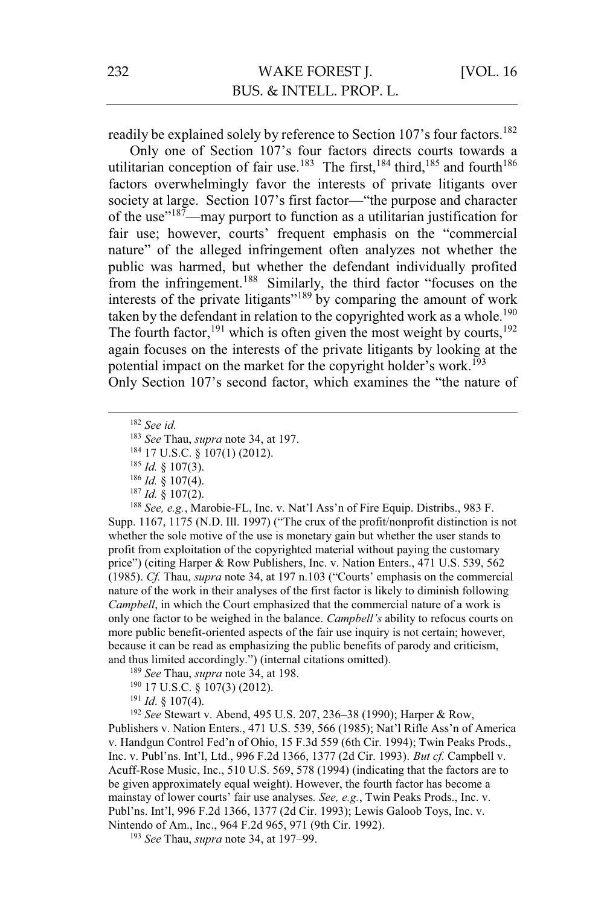readily be explained solely by reference to Section 107's four factors.<sup>182</sup>

Only one of Section 107's four factors directs courts towards a utilitarian conception of fair use.<sup>183</sup> The first,<sup>184</sup> third,<sup>185</sup> and fourth<sup>186</sup> factors overwhelmingly favor the interests of private litigants over society at large. Section 107's first factor—"the purpose and character of the use"<sup>187</sup>—may purport to function as a utilitarian justification for fair use; however, courts' frequent emphasis on the "commercial nature" of the alleged infringement often analyzes not whether the public was harmed, but whether the defendant individually profited from the infringement.<sup>188</sup> Similarly, the third factor "focuses on the interests of the private litigants"<sup>189</sup> by comparing the amount of work taken by the defendant in relation to the copyrighted work as a whole.<sup>190</sup> The fourth factor,<sup>191</sup> which is often given the most weight by courts,  $192$ again focuses on the interests of the private litigants by looking at the potential impact on the market for the copyright holder's work.<sup>193</sup> Only Section 107's second factor, which examines the "the nature of

182 *See id.* 

<sup>183</sup> See Thau, *supra* note 34, at 197.<br><sup>184</sup> 17 U.S.C. § 107(1) (2012).<br><sup>185</sup> *Id.* § 107(3).<br><sup>186</sup> *Id.* § 107(4).<br><sup>187</sup> *Id.* § 107(2).<br><sup>187</sup> *Id.* § 107(2).<br><sup>188</sup> See, e.g., Marobie-FL, Inc. v. Nat'l Ass'n of Fire Eq Supp. 1167, 1175 (N.D. Ill. 1997) ("The crux of the profit/nonprofit distinction is not whether the sole motive of the use is monetary gain but whether the user stands to profit from exploitation of the copyrighted material without paying the customary price") (citing Harper & Row Publishers, Inc. v. Nation Enters., 471 U.S. 539, 562 (1985). *Cf.* Thau, *supra* note 34, at 197 n.103 ("Courts' emphasis on the commercial nature of the work in their analyses of the first factor is likely to diminish following *Campbell*, in which the Court emphasized that the commercial nature of a work is only one factor to be weighed in the balance. *Campbell's* ability to refocus courts on more public benefit-oriented aspects of the fair use inquiry is not certain; however, because it can be read as emphasizing the public benefits of parody and criticism, and thus limited accordingly.") (internal citations omitted).<br><sup>189</sup> *See* Thau, *supra* note 34, at 198.

<sup>190</sup> 17 U.S.C. § 107(3) (2012).<br><sup>191</sup> *Id*. § 107(4).<br><sup>192</sup> *See* Stewart v. Abend, 495 U.S. 207, 236–38 (1990); Harper & Row, Publishers v. Nation Enters., 471 U.S. 539, 566 (1985); Nat'l Rifle Ass'n of America v. Handgun Control Fed'n of Ohio, 15 F.3d 559 (6th Cir. 1994); Twin Peaks Prods., Inc. v. Publ'ns. Int'l, Ltd., 996 F.2d 1366, 1377 (2d Cir. 1993). *But cf.* Campbell v. Acuff-Rose Music, Inc., 510 U.S. 569, 578 (1994) (indicating that the factors are to be given approximately equal weight). However, the fourth factor has become a mainstay of lower courts' fair use analyses*. See, e.g.*, Twin Peaks Prods., Inc. v. Publ'ns. Int'l, 996 F.2d 1366, 1377 (2d Cir. 1993); Lewis Galoob Toys, Inc. v. Nintendo of Am., Inc., 964 F.2d 965, 971 (9th Cir. 1992). 193 *See* Thau, *supra* note 34, at 197–99.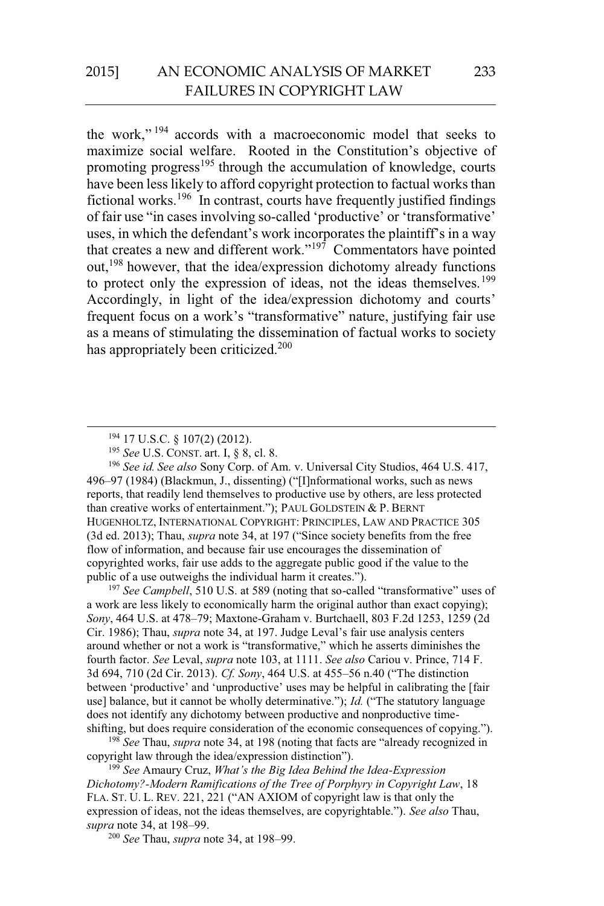the work," 194 accords with a macroeconomic model that seeks to maximize social welfare. Rooted in the Constitution's objective of promoting progress<sup>195</sup> through the accumulation of knowledge, courts have been less likely to afford copyright protection to factual works than fictional works.<sup>196</sup> In contrast, courts have frequently justified findings of fair use "in cases involving so-called 'productive' or 'transformative' uses, in which the defendant's work incorporates the plaintiff's in a way that creates a new and different work."197 Commentators have pointed out,198 however, that the idea/expression dichotomy already functions to protect only the expression of ideas, not the ideas themselves.<sup>199</sup> Accordingly, in light of the idea/expression dichotomy and courts' frequent focus on a work's "transformative" nature, justifying fair use as a means of stimulating the dissemination of factual works to society has appropriately been criticized.<sup>200</sup>

 194 17 U.S.C. § 107(2) (2012). 195 *See* U.S. CONST. art. I, § 8, cl. 8. 196 *See id. See also* Sony Corp. of Am. v. Universal City Studios, 464 U.S. 417, 496–97 (1984) (Blackmun, J., dissenting) ("[I]nformational works, such as news reports, that readily lend themselves to productive use by others, are less protected than creative works of entertainment."); PAUL GOLDSTEIN & P. BERNT HUGENHOLTZ, INTERNATIONAL COPYRIGHT: PRINCIPLES, LAW AND PRACTICE 305 (3d ed. 2013); Thau, *supra* note 34, at 197 ("Since society benefits from the free flow of information, and because fair use encourages the dissemination of copyrighted works, fair use adds to the aggregate public good if the value to the public of a use outweighs the individual harm it creates.").

<sup>197</sup> *See Campbell*, 510 U.S. at 589 (noting that so-called "transformative" uses of a work are less likely to economically harm the original author than exact copying); *Sony*, 464 U.S. at 478–79; Maxtone-Graham v. Burtchaell, 803 F.2d 1253, 1259 (2d Cir. 1986); Thau, *supra* note 34, at 197. Judge Leval's fair use analysis centers around whether or not a work is "transformative," which he asserts diminishes the fourth factor. *See* Leval, *supra* note 103, at 1111. *See also* Cariou v. Prince, 714 F. 3d 694, 710 (2d Cir. 2013). *Cf. Sony*, 464 U.S. at 455–56 n.40 ("The distinction between 'productive' and 'unproductive' uses may be helpful in calibrating the [fair use] balance, but it cannot be wholly determinative."); *Id.* ("The statutory language does not identify any dichotomy between productive and nonproductive timeshifting, but does require consideration of the economic consequences of copying.").

<sup>198</sup> *See* Thau, *supra* note 34, at 198 (noting that facts are "already recognized in copyright law through the idea/expression distinction").

<sup>199</sup> *See* Amaury Cruz, *What's the Big Idea Behind the Idea-Expression Dichotomy?-Modern Ramifications of the Tree of Porphyry in Copyright Law*, 18 FLA. ST. U. L. REV. 221, 221 ("AN AXIOM of copyright law is that only the expression of ideas, not the ideas themselves, are copyrightable."). *See also* Thau, *supra* note 34, at 198–99. 200 *See* Thau, *supra* note 34, at 198–99.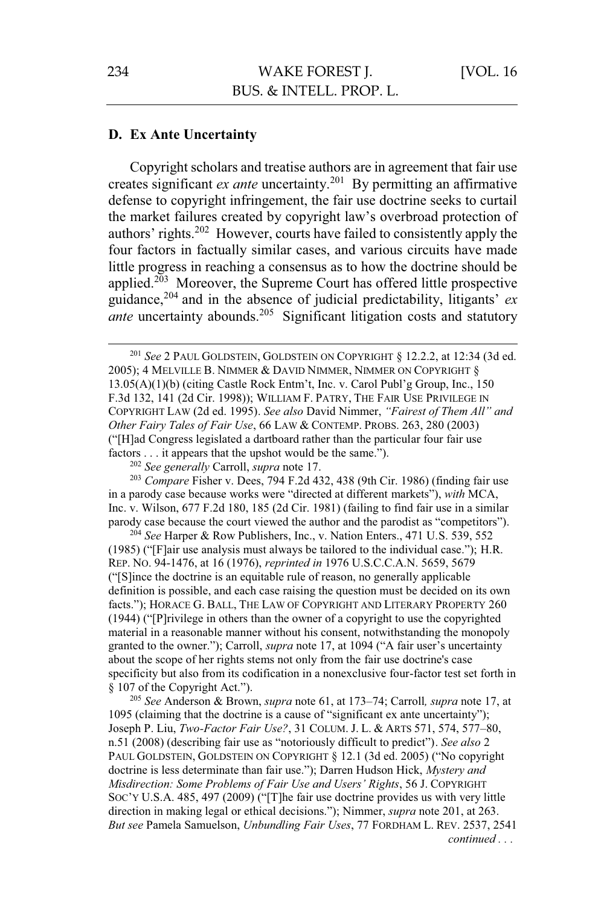## **D. Ex Ante Uncertainty**

Copyright scholars and treatise authors are in agreement that fair use creates significant *ex ante* uncertainty.201 By permitting an affirmative defense to copyright infringement, the fair use doctrine seeks to curtail the market failures created by copyright law's overbroad protection of authors' rights.202 However, courts have failed to consistently apply the four factors in factually similar cases, and various circuits have made little progress in reaching a consensus as to how the doctrine should be applied.203 Moreover, the Supreme Court has offered little prospective guidance,<sup>204</sup> and in the absence of judicial predictability, litigants' *ex ante* uncertainty abounds.<sup>205</sup> Significant litigation costs and statutory

<sup>202</sup> *See generally* Carroll, *supra* note 17. 203 *Compare* Fisher v. Dees, 794 F.2d 432, 438 (9th Cir. 1986) (finding fair use in a parody case because works were "directed at different markets"), *with* MCA, Inc. v. Wilson, 677 F.2d 180, 185 (2d Cir. 1981) (failing to find fair use in a similar parody case because the court viewed the author and the parodist as "competitors").

<sup>204</sup> *See* Harper & Row Publishers, Inc., v. Nation Enters., 471 U.S. 539, 552 (1985) ("[F]air use analysis must always be tailored to the individual case."); H.R. REP. NO. 94-1476, at 16 (1976), *reprinted in* 1976 U.S.C.C.A.N. 5659, 5679 ("[S]ince the doctrine is an equitable rule of reason, no generally applicable definition is possible, and each case raising the question must be decided on its own facts."); HORACE G. BALL, THE LAW OF COPYRIGHT AND LITERARY PROPERTY 260 (1944) ("[P]rivilege in others than the owner of a copyright to use the copyrighted material in a reasonable manner without his consent, notwithstanding the monopoly granted to the owner."); Carroll, *supra* note 17, at 1094 ("A fair user's uncertainty about the scope of her rights stems not only from the fair use doctrine's case specificity but also from its codification in a nonexclusive four-factor test set forth in § 107 of the Copyright Act.").

<sup>205</sup> *See* Anderson & Brown, *supra* note 61, at 173–74; Carroll*, supra* note 17, at 1095 (claiming that the doctrine is a cause of "significant ex ante uncertainty"); Joseph P. Liu, *Two-Factor Fair Use?*, 31 COLUM. J. L. & ARTS 571, 574, 577–80, n.51 (2008) (describing fair use as "notoriously difficult to predict"). *See also* 2 PAUL GOLDSTEIN, GOLDSTEIN ON COPYRIGHT § 12.1 (3d ed. 2005) ("No copyright doctrine is less determinate than fair use."); Darren Hudson Hick, *Mystery and Misdirection: Some Problems of Fair Use and Users' Rights*, 56 J. COPYRIGHT SOC'Y U.S.A. 485, 497 (2009) ("[T]he fair use doctrine provides us with very little direction in making legal or ethical decisions."); Nimmer, *supra* note 201, at 263. *But see* Pamela Samuelson, *Unbundling Fair Uses*, 77 FORDHAM L. REV. 2537, 2541 *continued . . .* 

<sup>&</sup>lt;sup>201</sup> See 2 PAUL GOLDSTEIN, GOLDSTEIN ON COPYRIGHT § 12.2.2, at 12:34 (3d ed. 2005); 4 MELVILLE B. NIMMER & DAVID NIMMER, NIMMER ON COPYRIGHT § 13.05(A)(1)(b) (citing Castle Rock Entm't, Inc. v. Carol Publ'g Group, Inc., 150 F.3d 132, 141 (2d Cir. 1998)); WILLIAM F. PATRY, THE FAIR USE PRIVILEGE IN COPYRIGHT LAW (2d ed. 1995). *See also* David Nimmer, *"Fairest of Them All" and Other Fairy Tales of Fair Use*, 66 LAW & CONTEMP. PROBS. 263, 280 (2003) ("[H]ad Congress legislated a dartboard rather than the particular four fair use factors . . . it appears that the upshot would be the same.").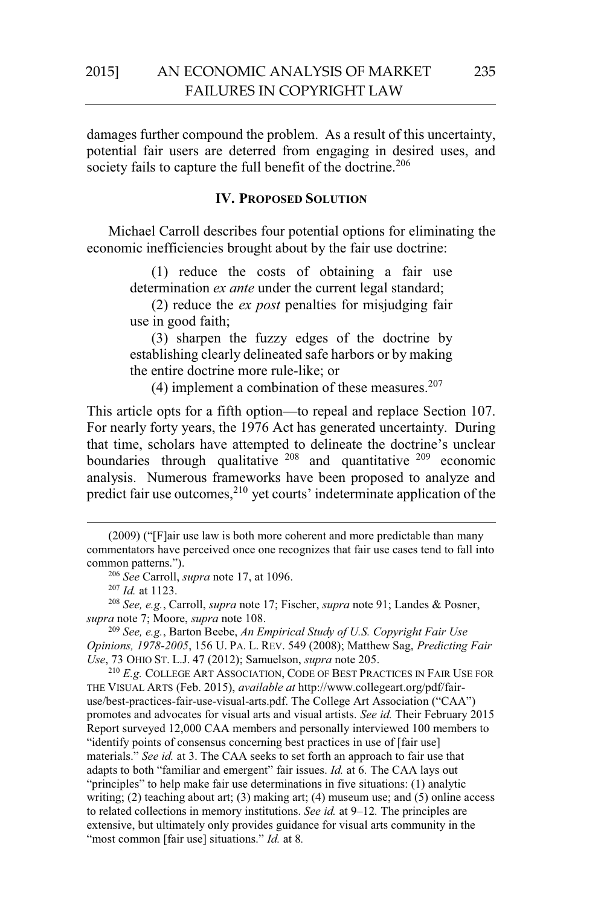damages further compound the problem. As a result of this uncertainty, potential fair users are deterred from engaging in desired uses, and society fails to capture the full benefit of the doctrine.<sup>206</sup>

#### **IV. PROPOSED SOLUTION**

Michael Carroll describes four potential options for eliminating the economic inefficiencies brought about by the fair use doctrine:

> (1) reduce the costs of obtaining a fair use determination *ex ante* under the current legal standard;

> (2) reduce the *ex post* penalties for misjudging fair use in good faith;

> (3) sharpen the fuzzy edges of the doctrine by establishing clearly delineated safe harbors or by making the entire doctrine more rule-like; or

(4) implement a combination of these measures. $207$ 

This article opts for a fifth option—to repeal and replace Section 107. For nearly forty years, the 1976 Act has generated uncertainty. During that time, scholars have attempted to delineate the doctrine's unclear boundaries through qualitative  $208$  and quantitative  $209$  economic analysis. Numerous frameworks have been proposed to analyze and predict fair use outcomes, $2^{10}$  yet courts' indeterminate application of the

 $\overline{a}$ 

<sup>209</sup> See, e.g., Barton Beebe, *An Empirical Study of U.S. Copyright Fair Use Opinions, 1978-2005*, 156 U. PA. L. REV. 549 (2008); Matthew Sag, *Predicting Fair* 

<sup>210</sup> E.g. COLLEGE ART ASSOCIATION, CODE OF BEST PRACTICES IN FAIR USE FOR THE VISUAL ARTS (Feb. 2015), *available at* http://www.collegeart.org/pdf/fairuse/best-practices-fair-use-visual-arts.pdf. The College Art Association ("CAA") promotes and advocates for visual arts and visual artists. *See id.* Their February 2015 Report surveyed 12,000 CAA members and personally interviewed 100 members to "identify points of consensus concerning best practices in use of [fair use] materials." *See id.* at 3. The CAA seeks to set forth an approach to fair use that adapts to both "familiar and emergent" fair issues. *Id.* at 6*.* The CAA lays out "principles" to help make fair use determinations in five situations: (1) analytic writing; (2) teaching about art; (3) making art; (4) museum use; and (5) online access to related collections in memory institutions. *See id.* at 9–12*.* The principles are extensive, but ultimately only provides guidance for visual arts community in the "most common [fair use] situations." *Id.* at 8.

<sup>(2009)</sup> ("[F]air use law is both more coherent and more predictable than many commentators have perceived once one recognizes that fair use cases tend to fall into common patterns.").<br><sup>206</sup> See Carroll, *supra* note 17, at 1096.

<sup>&</sup>lt;sup>207</sup> *Id.* at 1123.<br><sup>208</sup> *See, e.g.*, Carroll, *supra* note 17; Fischer, *supra* note 91; Landes & Posner, *supra* note 7; Moore, *supra* note 108.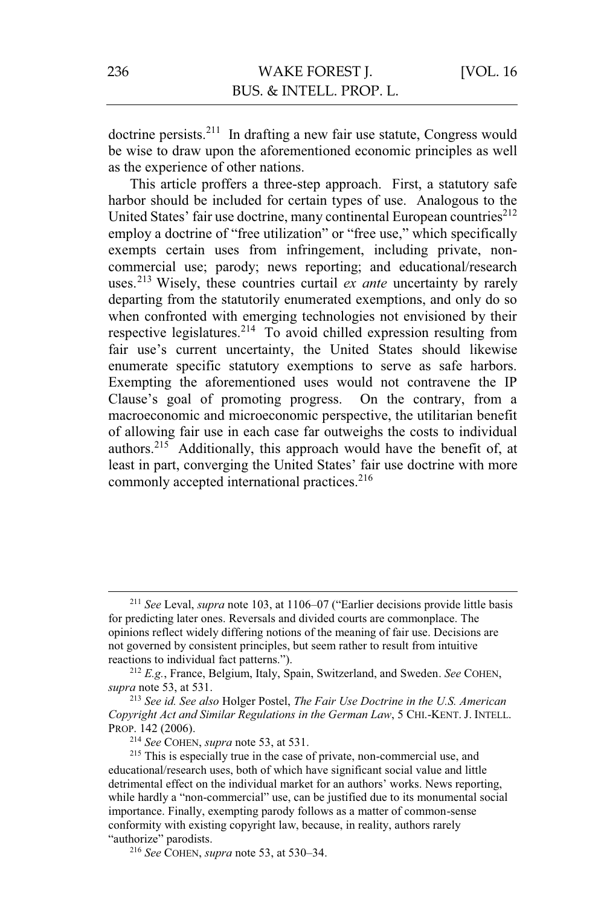doctrine persists.211 In drafting a new fair use statute, Congress would be wise to draw upon the aforementioned economic principles as well as the experience of other nations.

This article proffers a three-step approach. First, a statutory safe harbor should be included for certain types of use. Analogous to the United States' fair use doctrine, many continental European countries<sup>212</sup> employ a doctrine of "free utilization" or "free use," which specifically exempts certain uses from infringement, including private, noncommercial use; parody; news reporting; and educational/research uses.213 Wisely, these countries curtail *ex ante* uncertainty by rarely departing from the statutorily enumerated exemptions, and only do so when confronted with emerging technologies not envisioned by their respective legislatures.214 To avoid chilled expression resulting from fair use's current uncertainty, the United States should likewise enumerate specific statutory exemptions to serve as safe harbors. Exempting the aforementioned uses would not contravene the IP Clause's goal of promoting progress. On the contrary, from a macroeconomic and microeconomic perspective, the utilitarian benefit of allowing fair use in each case far outweighs the costs to individual authors.215 Additionally, this approach would have the benefit of, at least in part, converging the United States' fair use doctrine with more commonly accepted international practices.<sup>216</sup>

 <sup>211</sup> *See* Leval, *supra* note 103, at 1106–07 ("Earlier decisions provide little basis for predicting later ones. Reversals and divided courts are commonplace. The opinions reflect widely differing notions of the meaning of fair use. Decisions are not governed by consistent principles, but seem rather to result from intuitive reactions to individual fact patterns.").

<sup>212</sup> *E.g.*, France, Belgium, Italy, Spain, Switzerland, and Sweden. *See* COHEN, *supra* note 53, at 531.

<sup>213</sup> *See id. See also* Holger Postel, *The Fair Use Doctrine in the U.S. American Copyright Act and Similar Regulations in the German Law*, 5 CHI.-KENT. J. INTELL. PROP. 142 (2006).<br><sup>214</sup> *See* COHEN, *supra* note 53, at 531.

<sup>&</sup>lt;sup>215</sup> This is especially true in the case of private, non-commercial use, and educational/research uses, both of which have significant social value and little detrimental effect on the individual market for an authors' works. News reporting, while hardly a "non-commercial" use, can be justified due to its monumental social importance. Finally, exempting parody follows as a matter of common-sense conformity with existing copyright law, because, in reality, authors rarely "authorize" parodists.

<sup>216</sup> *See* COHEN, *supra* note 53, at 530–34.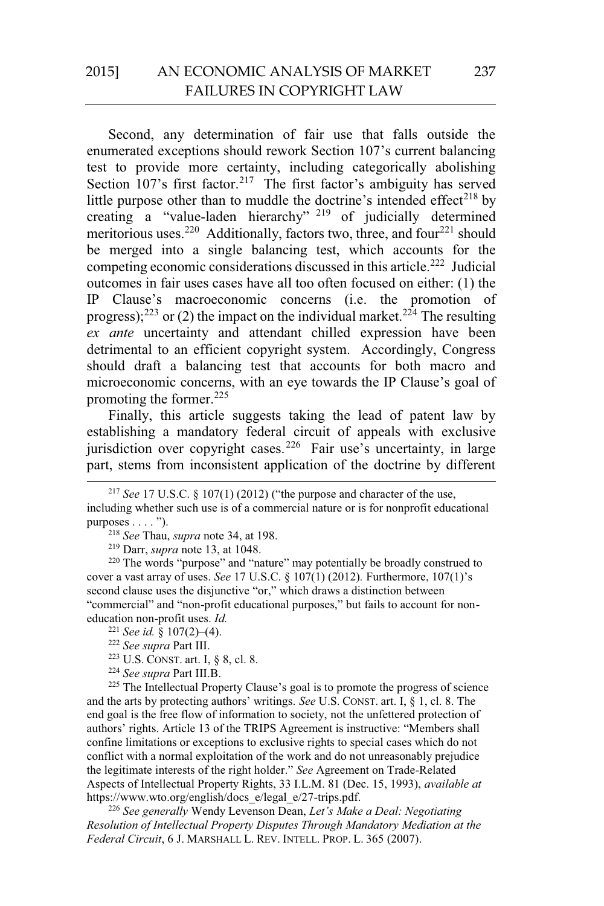# 2015] AN ECONOMIC ANALYSIS OF MARKET FAILURES IN COPYRIGHT LAW

Second, any determination of fair use that falls outside the enumerated exceptions should rework Section 107's current balancing test to provide more certainty, including categorically abolishing Section  $107$ 's first factor.<sup>217</sup> The first factor's ambiguity has served little purpose other than to muddle the doctrine's intended effect<sup>218</sup> by creating a "value-laden hierarchy" 219 of judicially determined meritorious uses.<sup>220</sup> Additionally, factors two, three, and four<sup>221</sup> should be merged into a single balancing test, which accounts for the competing economic considerations discussed in this article.<sup>222</sup> Judicial outcomes in fair uses cases have all too often focused on either: (1) the IP Clause's macroeconomic concerns (i.e. the promotion of progress);<sup>223</sup> or (2) the impact on the individual market.<sup>224</sup> The resulting *ex ante* uncertainty and attendant chilled expression have been detrimental to an efficient copyright system. Accordingly, Congress should draft a balancing test that accounts for both macro and microeconomic concerns, with an eye towards the IP Clause's goal of promoting the former. $225$ 

Finally, this article suggests taking the lead of patent law by establishing a mandatory federal circuit of appeals with exclusive jurisdiction over copyright cases.<sup>226</sup> Fair use's uncertainty, in large part, stems from inconsistent application of the doctrine by different

<sup>222</sup> *See supra* Part III.<br><sup>223</sup> U.S. CONST. art. I, § 8, cl. 8.<br><sup>224</sup> *See supra* Part III.B.<br><sup>225</sup> The Intellectual Property Clause's goal is to promote the progress of science and the arts by protecting authors' writings. *See* U.S. CONST. art. I, § 1, cl. 8. The end goal is the free flow of information to society, not the unfettered protection of authors' rights. Article 13 of the TRIPS Agreement is instructive: "Members shall confine limitations or exceptions to exclusive rights to special cases which do not conflict with a normal exploitation of the work and do not unreasonably prejudice the legitimate interests of the right holder." *See* Agreement on Trade-Related Aspects of Intellectual Property Rights, 33 I.L.M. 81 (Dec. 15, 1993), *available at*

<sup>226</sup> See generally Wendy Levenson Dean, *Let's Make a Deal: Negotiating Resolution of Intellectual Property Disputes Through Mandatory Mediation at the Federal Circuit*, 6 J. MARSHALL L. REV. INTELL. PROP. L. 365 (2007).

<sup>&</sup>lt;sup>217</sup> *See* 17 U.S.C. § 107(1) (2012) ("the purpose and character of the use,

including whether such use is of a commercial nature or is for nonprofit educational purposes . . . . ").<br><sup>218</sup> See Thau, *supra* note 34, at 198.

<sup>&</sup>lt;sup>219</sup> Darr, *supra* note 13, at 1048.<br><sup>220</sup> The words "purpose" and "nature" may potentially be broadly construed to cover a vast array of uses. *See* 17 U.S.C. § 107(1) (2012)*.* Furthermore, 107(1)'s second clause uses the disjunctive "or," which draws a distinction between "commercial" and "non-profit educational purposes," but fails to account for noneducation non-profit uses. *Id.*  $\frac{221}{2}$  See id. § 107(2)–(4).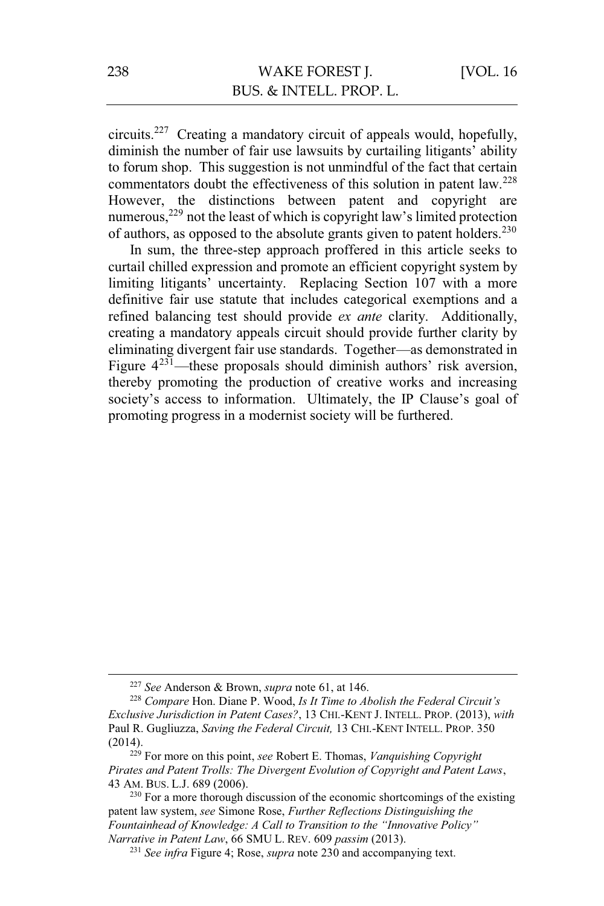circuits.227 Creating a mandatory circuit of appeals would, hopefully, diminish the number of fair use lawsuits by curtailing litigants' ability to forum shop. This suggestion is not unmindful of the fact that certain commentators doubt the effectiveness of this solution in patent  $law<sup>228</sup>$ However, the distinctions between patent and copyright are numerous,<sup>229</sup> not the least of which is copyright law's limited protection of authors, as opposed to the absolute grants given to patent holders.<sup>230</sup>

In sum, the three-step approach proffered in this article seeks to curtail chilled expression and promote an efficient copyright system by limiting litigants' uncertainty. Replacing Section 107 with a more definitive fair use statute that includes categorical exemptions and a refined balancing test should provide *ex ante* clarity. Additionally, creating a mandatory appeals circuit should provide further clarity by eliminating divergent fair use standards. Together—as demonstrated in Figure  $4^{231}$ —these proposals should diminish authors' risk aversion, thereby promoting the production of creative works and increasing society's access to information. Ultimately, the IP Clause's goal of promoting progress in a modernist society will be furthered.

<sup>227</sup> *See* Anderson & Brown, *supra* note 61, at 146. 228 *Compare* Hon. Diane P. Wood, *Is It Time to Abolish the Federal Circuit's Exclusive Jurisdiction in Patent Cases?*, 13 CHI.-KENT J. INTELL. PROP. (2013), *with*  Paul R. Gugliuzza, *Saving the Federal Circuit,* 13 CHI.-KENT INTELL. PROP. 350

<sup>(2014). 229</sup> For more on this point, *see* Robert E. Thomas, *Vanquishing Copyright Pirates and Patent Trolls: The Divergent Evolution of Copyright and Patent Laws*, 43 AM. BUS. L.J. 689 (2006).<br><sup>230</sup> For a more thorough discussion of the economic shortcomings of the existing

patent law system, *see* Simone Rose, *Further Reflections Distinguishing the Fountainhead of Knowledge: A Call to Transition to the "Innovative Policy"* 

<sup>&</sup>lt;sup>231</sup> See infra Figure 4; Rose, *supra* note 230 and accompanying text.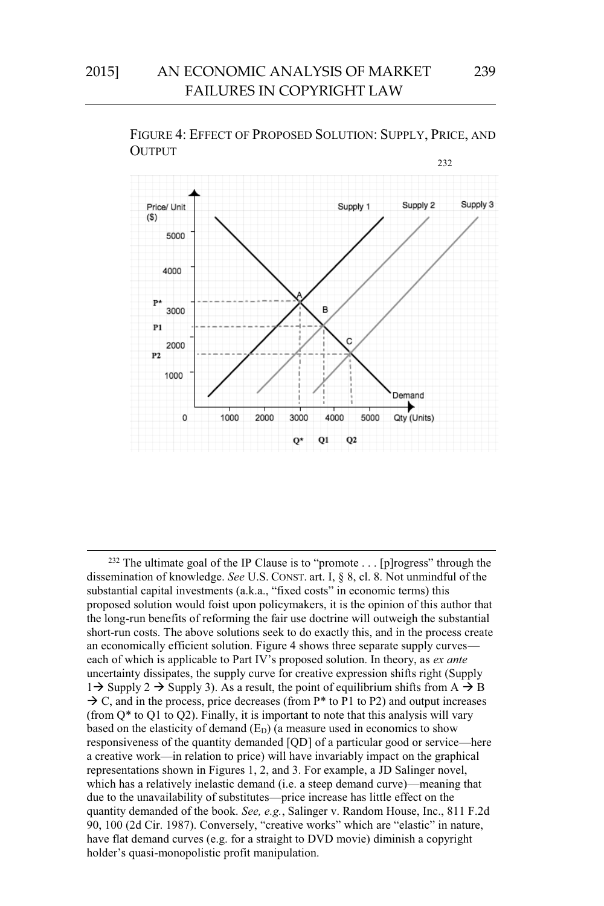

FIGURE 4: EFFECT OF PROPOSED SOLUTION: SUPPLY, PRICE, AND OUTPUT

<sup>&</sup>lt;sup>232</sup> The ultimate goal of the IP Clause is to "promote . . . [p]rogress" through the dissemination of knowledge. *See* U.S. CONST. art. I, § 8, cl. 8. Not unmindful of the substantial capital investments (a.k.a., "fixed costs" in economic terms) this proposed solution would foist upon policymakers, it is the opinion of this author that the long-run benefits of reforming the fair use doctrine will outweigh the substantial short-run costs. The above solutions seek to do exactly this, and in the process create an economically efficient solution. Figure 4 shows three separate supply curves each of which is applicable to Part IV's proposed solution. In theory, as *ex ante*  uncertainty dissipates, the supply curve for creative expression shifts right (Supply  $1\rightarrow$  Supply 2  $\rightarrow$  Supply 3). As a result, the point of equilibrium shifts from A  $\rightarrow$  B  $\rightarrow$  C, and in the process, price decreases (from P<sup>\*</sup> to P1 to P2) and output increases (from  $Q^*$  to  $Q1$  to  $Q2$ ). Finally, it is important to note that this analysis will vary based on the elasticity of demand  $(E_D)$  (a measure used in economics to show responsiveness of the quantity demanded [QD] of a particular good or service—here a creative work—in relation to price) will have invariably impact on the graphical representations shown in Figures 1, 2, and 3. For example, a JD Salinger novel, which has a relatively inelastic demand (i.e. a steep demand curve)—meaning that due to the unavailability of substitutes—price increase has little effect on the quantity demanded of the book. *See, e.g.*, Salinger v. Random House, Inc., 811 F.2d 90, 100 (2d Cir. 1987). Conversely, "creative works" which are "elastic" in nature, have flat demand curves (e.g. for a straight to DVD movie) diminish a copyright holder's quasi-monopolistic profit manipulation.